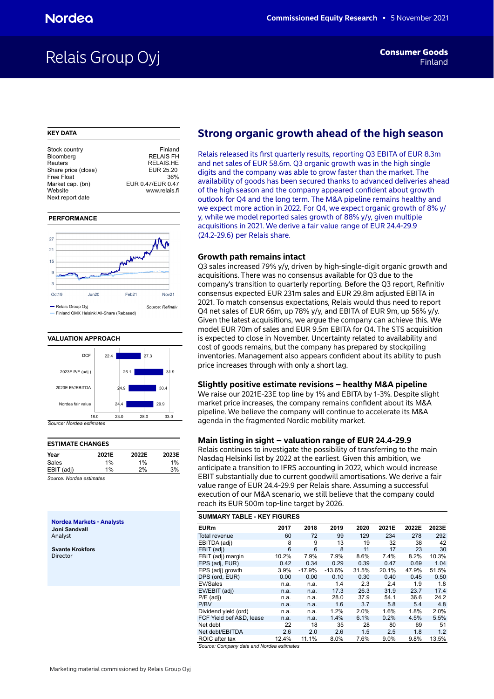# Relais Group Oyj

#### **KEY DATA**

| Stock country       | Finland           |
|---------------------|-------------------|
| Bloomberg           | <b>RELAIS FH</b>  |
| Reuters             | <b>RELAIS.HE</b>  |
| Share price (close) | EUR 25.20         |
| Free Float          | 36%               |
| Market cap. (bn)    | EUR 0.47/EUR 0.47 |
| Website             | www.relais.fi     |
| Next report date    |                   |
|                     |                   |

#### **PERFORMANCE**



#### **VALUATION APPROACH**



# **ESTIMATE CHANGES Year 2021E 2022E 2023E** Sales 1% 1% 1% EBIT (adj) 1% 2% 3%

*Source: Nordea estimates*

**Nordea Markets - Analysts Joni Sandvall** Analyst

**Svante Krokfors** Director

# **Strong organic growth ahead of the high season**

Relais released its first quarterly results, reporting Q3 EBITA of EUR 8.3m and net sales of EUR 58.6m. Q3 organic growth was in the high single digits and the company was able to grow faster than the market. The availability of goods has been secured thanks to advanced deliveries ahead of the high season and the company appeared confident about growth outlook for Q4 and the long term. The M&A pipeline remains healthy and we expect more action in 2022. For Q4, we expect organic growth of 8% y/ y, while we model reported sales growth of 88% y/y, given multiple acquisitions in 2021. We derive a fair value range of EUR 24.4-29.9 (24.2-29.6) per Relais share.

#### **Growth path remains intact**

Q3 sales increased 79% y/y, driven by high-single-digit organic growth and acquisitions. There was no consensus available for Q3 due to the company's transition to quarterly reporting. Before the Q3 report, Refinitiv consensus expected EUR 231m sales and EUR 29.8m adjusted EBITA in 2021. To match consensus expectations, Relais would thus need to report Q4 net sales of EUR 66m, up 78% y/y, and EBITA of EUR 9m, up 56% y/y. Given the latest acquisitions, we argue the company can achieve this. We model EUR 70m of sales and EUR 9.5m EBITA for Q4. The STS acquisition is expected to close in November. Uncertainty related to availability and cost of goods remains, but the company has prepared by stockpiling inventories. Management also appears confident about its ability to push price increases through with only a short lag.

#### **Slightly positive estimate revisions – healthy M&A pipeline**

We raise our 2021E-23E top line by 1% and EBITA by 1-3%. Despite slight market price increases, the company remains confident about its M&A pipeline. We believe the company will continue to accelerate its M&A agenda in the fragmented Nordic mobility market.

#### **Main listing in sight – valuation range of EUR 24.4-29.9**

Relais continues to investigate the possibility of transferring to the main Nasdaq Helsinki list by 2022 at the earliest. Given this ambition, we anticipate a transition to IFRS accounting in 2022, which would increase EBIT substantially due to current goodwill amortisations. We derive a fair value range of EUR 24.4-29.9 per Relais share. Assuming a successful execution of our M&A scenario, we still believe that the company could reach its EUR 500m top-line target by 2026.

| <b>SUMMARY TABLE - KEY FIGURES</b> |       |          |          |       |       |       |       |  |  |  |  |  |
|------------------------------------|-------|----------|----------|-------|-------|-------|-------|--|--|--|--|--|
| <b>EURm</b>                        | 2017  | 2018     | 2019     | 2020  | 2021E | 2022E | 2023E |  |  |  |  |  |
| <b>Total revenue</b>               | 60    | 72       | 99       | 129   | 234   | 278   | 292   |  |  |  |  |  |
| EBITDA (adj)                       | 8     | 9        | 13       | 19    | 32    | 38    | 42    |  |  |  |  |  |
| EBIT (adj)                         | 6     | 6        | 8        | 11    | 17    | 23    | 30    |  |  |  |  |  |
| EBIT (adj) margin                  | 10.2% | 7.9%     | 7.9%     | 8.6%  | 7.4%  | 8.2%  | 10.3% |  |  |  |  |  |
| EPS (adj, EUR)                     | 0.42  | 0.34     | 0.29     | 0.39  | 0.47  | 0.69  | 1.04  |  |  |  |  |  |
| EPS (adj) growth                   | 3.9%  | $-17.9%$ | $-13.6%$ | 31.5% | 20.1% | 47.9% | 51.5% |  |  |  |  |  |
| DPS (ord, EUR)                     | 0.00  | 0.00     | 0.10     | 0.30  | 0.40  | 0.45  | 0.50  |  |  |  |  |  |
| EV/Sales                           | n.a.  | n.a.     | 1.4      | 2.3   | 2.4   | 1.9   | 1.8   |  |  |  |  |  |
| EV/EBIT (adj)                      | n.a.  | n.a.     | 17.3     | 26.3  | 31.9  | 23.7  | 17.4  |  |  |  |  |  |
| $P/E$ (adj)                        | n.a.  | n.a.     | 28.0     | 37.9  | 54.1  | 36.6  | 24.2  |  |  |  |  |  |
| P/BV                               | n.a.  | n.a.     | 1.6      | 3.7   | 5.8   | 5.4   | 4.8   |  |  |  |  |  |
| Dividend yield (ord)               | n.a.  | n.a.     | 1.2%     | 2.0%  | 1.6%  | 1.8%  | 2.0%  |  |  |  |  |  |
| FCF Yield bef A&D. lease           | n.a.  | n.a.     | 1.4%     | 6.1%  | 0.2%  | 4.5%  | 5.5%  |  |  |  |  |  |
| Net debt                           | 22    | 18       | 35       | 28    | 80    | 69    | 51    |  |  |  |  |  |
| Net debt/EBITDA                    | 2.6   | 2.0      | 2.6      | 1.5   | 2.5   | 1.8   | 1.2   |  |  |  |  |  |
| ROIC after tax                     | 12.4% | 11.1%    | 8.0%     | 7.6%  | 9.0%  | 9.8%  | 13.5% |  |  |  |  |  |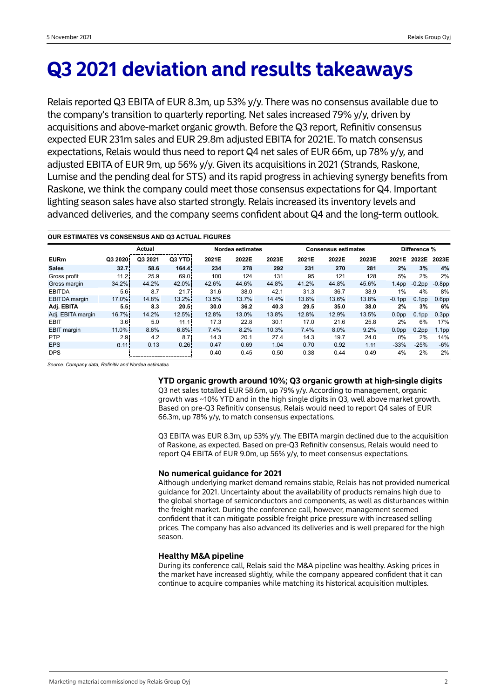# **Q3 2021 deviation and results takeaways**

Relais reported Q3 EBITA of EUR 8.3m, up 53% y/y. There was no consensus available due to the company's transition to quarterly reporting. Net sales increased 79% y/y, driven by acquisitions and above-market organic growth. Before the Q3 report, Refinitiv consensus expected EUR 231m sales and EUR 29.8m adjusted EBITA for 2021E. To match consensus expectations, Relais would thus need to report Q4 net sales of EUR 66m, up 78% y/y, and adjusted EBITA of EUR 9m, up 56% y/y. Given its acquisitions in 2021 (Strands, Raskone, Lumise and the pending deal for STS) and its rapid progress in achieving synergy benefits from Raskone, we think the company could meet those consensus expectations for Q4. Important lighting season sales have also started strongly. Relais increased its inventory levels and advanced deliveries, and the company seems confident about Q4 and the long-term outlook.

| <b>OUR ESTIMATES VS CONSENSUS AND Q3 ACTUAL FIGURES</b> |                   |         |                  |       |                  |       |       |                            |       |                   |                   |                   |  |
|---------------------------------------------------------|-------------------|---------|------------------|-------|------------------|-------|-------|----------------------------|-------|-------------------|-------------------|-------------------|--|
|                                                         |                   | Actual  |                  |       | Nordea estimates |       |       | <b>Consensus estimates</b> |       | Difference %      |                   |                   |  |
| <b>EURm</b>                                             | Q3 2020           | Q3 2021 | Q3 YTD.          | 2021E | 2022E            | 2023E | 2021E | 2022E                      | 2023E | 2021E             | 2022E             | 2023E             |  |
| <b>Sales</b>                                            | 32.7 <sup>1</sup> | 58.6    | 164.4            | 234   | 278              | 292   | 231   | 270                        | 281   | 2%                | 3%                | 4%                |  |
| Gross profit                                            | 11.21             | 25.9    | 69.0             | 100   | 124              | 131   | 95    | 121                        | 128   | 5%                | 2%                | 2%                |  |
| Gross margin                                            | 34.2%             | 44.2%   | 42.0%            | 42.6% | 44.6%            | 44.8% | 41.2% | 44.8%                      | 45.6% | 1.4 <sub>pp</sub> | $-0.2$ pp         | $-0.8pp$          |  |
| <b>EBITDA</b>                                           | 5.6 <sup>1</sup>  | 8.7     | 21.7             | 31.6  | 38.0             | 42.1  | 31.3  | 36.7                       | 38.9  | 1%                | 4%                | 8%                |  |
| <b>EBITDA</b> margin                                    | 17.0%             | 14.8%   | $13.2\%$         | 13.5% | 13.7%            | 14.4% | 13.6% | 13.6%                      | 13.8% | $-0.1$ pp         | 0.1 <sub>pp</sub> | 0.6 <sub>pp</sub> |  |
| Adj. EBITA                                              | 5.5               | 8.3     | 20.5             | 30.0  | 36.2             | 40.3  | 29.5  | 35.0                       | 38.0  | 2%                | 3%                | 6%                |  |
| Adj. EBITA margin                                       | 16.7%             | 14.2%   | 12.5%            | 12.8% | 13.0%            | 13.8% | 12.8% | 12.9%                      | 13.5% | 0.0 <sub>pp</sub> | 0.1 <sub>pp</sub> | 0.3 <sub>pp</sub> |  |
| <b>EBIT</b>                                             | 3.6               | 5.0     | 11.11            | 17.3  | 22.8             | 30.1  | 17.0  | 21.6                       | 25.8  | 2%                | 6%                | 17%               |  |
| <b>EBIT</b> margin                                      | $11.0\%$          | 8.6%    | 6.8%             | 7.4%  | 8.2%             | 10.3% | 7.4%  | 8.0%                       | 9.2%  | 0.0 <sub>pp</sub> | 0.2 <sub>pp</sub> | 1.1 <sub>pp</sub> |  |
| <b>PTP</b>                                              | 2.9 <sub>1</sub>  | 4.2     | 8.7 <sup>1</sup> | 14.3  | 20.1             | 27.4  | 14.3  | 19.7                       | 24.0  | 0%                | 2%                | 14%               |  |
| <b>EPS</b>                                              | 0.11              | 0.13    | 0.26             | 0.47  | 0.69             | 1.04  | 0.70  | 0.92                       | 1.11  | $-33%$            | $-25%$            | $-6%$             |  |
| <b>DPS</b>                                              |                   |         |                  | 0.40  | 0.45             | 0.50  | 0.38  | 0.44                       | 0.49  | 4%                | 2%                | 2%                |  |

*Source: Company data, Refinitiv and Nordea estimates*

### **YTD organic growth around 10%; Q3 organic growth at high-single digits**

Q3 net sales totalled EUR 58.6m, up 79% y/y. According to management, organic growth was ~10% YTD and in the high single digits in Q3, well above market growth. Based on pre-Q3 Refinitiv consensus, Relais would need to report Q4 sales of EUR 66.3m, up 78% y/y, to match consensus expectations.

Q3 EBITA was EUR 8.3m, up 53% y/y. The EBITA margin declined due to the acquisition of Raskone, as expected. Based on pre-Q3 Refinitiv consensus, Relais would need to report Q4 EBITA of EUR 9.0m, up 56% y/y, to meet consensus expectations.

#### **No numerical guidance for 2021**

Although underlying market demand remains stable, Relais has not provided numerical guidance for 2021. Uncertainty about the availability of products remains high due to the global shortage of semiconductors and components, as well as disturbances within the freight market. During the conference call, however, management seemed confident that it can mitigate possible freight price pressure with increased selling prices. The company has also advanced its deliveries and is well prepared for the high season.

## **Healthy M&A pipeline**

During its conference call, Relais said the M&A pipeline was healthy. Asking prices in the market have increased slightly, while the company appeared confident that it can continue to acquire companies while matching its historical acquisition multiples.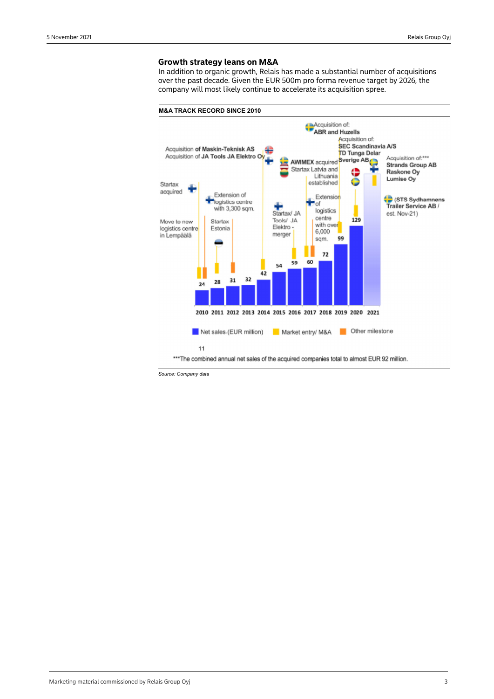### **Growth strategy leans on M&A**

In addition to organic growth, Relais has made a substantial number of acquisitions over the past decade. Given the EUR 500m pro forma revenue target by 2026, the company will most likely continue to accelerate its acquisition spree.



*Source: Company data*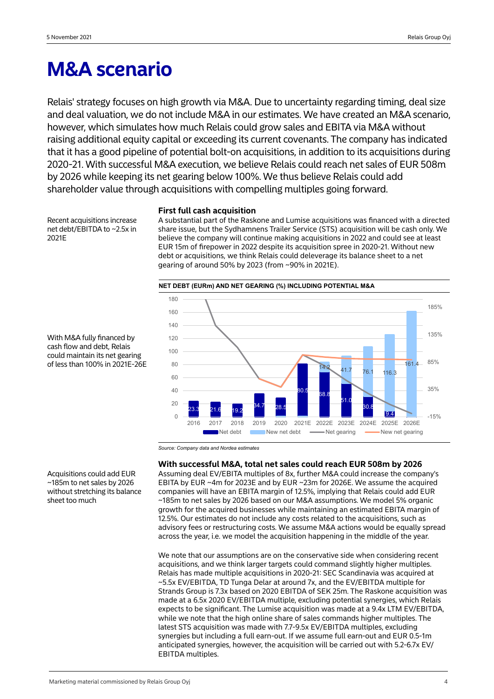# **M&A scenario**

Relais' strategy focuses on high growth via M&A. Due to uncertainty regarding timing, deal size and deal valuation, we do not include M&A in our estimates. We have created an M&A scenario, however, which simulates how much Relais could grow sales and EBITA via M&A without raising additional equity capital or exceeding its current covenants. The company has indicated that it has a good pipeline of potential bolt-on acquisitions, in addition to its acquisitions during 2020-21. With successful M&A execution, we believe Relais could reach net sales of EUR 508m by 2026 while keeping its net gearing below 100%. We thus believe Relais could add shareholder value through acquisitions with compelling multiples going forward.

Recent acquisitions increase net debt/EBITDA to ~2.5x in 2021E

# **First full cash acquisition**

A substantial part of the Raskone and Lumise acquisitions was financed with a directed share issue, but the Sydhamnens Trailer Service (STS) acquisition will be cash only. We believe the company will continue making acquisitions in 2022 and could see at least EUR 15m of firepower in 2022 despite its acquisition spree in 2020-21. Without new debt or acquisitions, we think Relais could deleverage its balance sheet to a net gearing of around 50% by 2023 (from ~90% in 2021E).



With M&A fully financed by cash flow and debt, Relais could maintain its net gearing of less than 100% in 2021E-26E

*Source: Company data and Nordea estimates*

**With successful M&A, total net sales could reach EUR 508m by 2026** Assuming deal EV/EBITA multiples of 8x, further M&A could increase the company's EBITA by EUR ~4m for 2023E and by EUR ~23m for 2026E. We assume the acquired companies will have an EBITA margin of 12.5%, implying that Relais could add EUR ~185m to net sales by 2026 based on our M&A assumptions. We model 5% organic

growth for the acquired businesses while maintaining an estimated EBITA margin of 12.5%. Our estimates do not include any costs related to the acquisitions, such as advisory fees or restructuring costs. We assume M&A actions would be equally spread across the year, i.e. we model the acquisition happening in the middle of the year.

We note that our assumptions are on the conservative side when considering recent acquisitions, and we think larger targets could command slightly higher multiples. Relais has made multiple acquisitions in 2020-21: SEC Scandinavia was acquired at ~5.5x EV/EBITDA, TD Tunga Delar at around 7x, and the EV/EBITDA multiple for Strands Group is 7.3x based on 2020 EBITDA of SEK 25m. The Raskone acquisition was made at a 6.5x 2020 EV/EBITDA multiple, excluding potential synergies, which Relais expects to be significant. The Lumise acquisition was made at a 9.4x LTM EV/EBITDA, while we note that the high online share of sales commands higher multiples. The latest STS acquisition was made with 7.7-9.5x EV/EBITDA multiples, excluding synergies but including a full earn-out. If we assume full earn-out and EUR 0.5-1m anticipated synergies, however, the acquisition will be carried out with 5.2-6.7x EV/ EBITDA multiples.

Acquisitions could add EUR ~185m to net sales by 2026 without stretching its balance sheet too much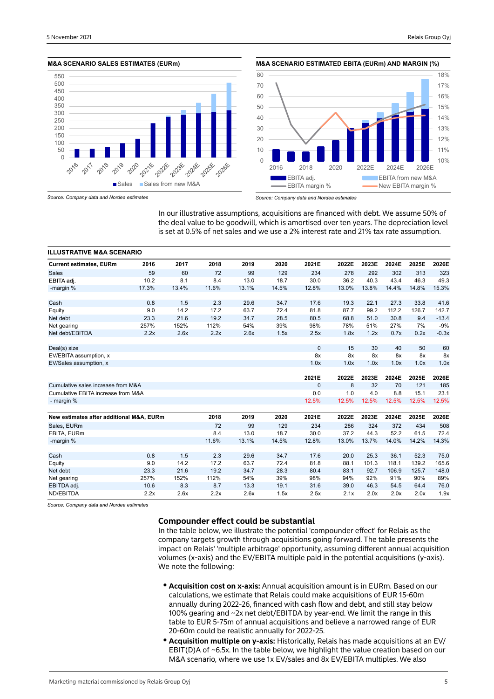#### **M&A SCENARIO SALES ESTIMATES (EURm)**



**M&A SCENARIO ESTIMATED EBITA (EURm) AND MARGIN (%)**



*Source: Company data and Nordea estimates*

*Source: Company data and Nordea estimates*

In our illustrative assumptions, acquisitions are financed with debt. We assume 50% of the deal value to be goodwill, which is amortised over ten years. The depreciation level is set at 0.5% of net sales and we use a 2% interest rate and 21% tax rate assumption.

| <b>ILLUSTRATIVE M&amp;A SCENARIO</b>     |       |       |       |       |       |              |       |       |       |       |         |
|------------------------------------------|-------|-------|-------|-------|-------|--------------|-------|-------|-------|-------|---------|
| <b>Current estimates, EURm</b>           | 2016  | 2017  | 2018  | 2019  | 2020  | 2021E        | 2022E | 2023E | 2024E | 2025E | 2026E   |
| <b>Sales</b>                             | 59    | 60    | 72    | 99    | 129   | 234          | 278   | 292   | 302   | 313   | 323     |
| EBITA adj.                               | 10.2  | 8.1   | 8.4   | 13.0  | 18.7  | 30.0         | 36.2  | 40.3  | 43.4  | 46.3  | 49.3    |
| -margin %                                | 17.3% | 13.4% | 11.6% | 13.1% | 14.5% | 12.8%        | 13.0% | 13.8% | 14.4% | 14.8% | 15.3%   |
| Cash                                     | 0.8   | 1.5   | 2.3   | 29.6  | 34.7  | 17.6         | 19.3  | 22.1  | 27.3  | 33.8  | 41.6    |
| Equity                                   | 9.0   | 14.2  | 17.2  | 63.7  | 72.4  | 81.8         | 87.7  | 99.2  | 112.2 | 126.7 | 142.7   |
| Net debt                                 | 23.3  | 21.6  | 19.2  | 34.7  | 28.5  | 80.5         | 68.8  | 51.0  | 30.8  | 9.4   | $-13.4$ |
| Net gearing                              | 257%  | 152%  | 112%  | 54%   | 39%   | 98%          | 78%   | 51%   | 27%   | 7%    | $-9%$   |
| Net debt/EBITDA                          | 2.2x  | 2.6x  | 2.2x  | 2.6x  | 1.5x  | 2.5x         | 1.8x  | 1.2x  | 0.7x  | 0.2x  | $-0.3x$ |
| Deal(s) size                             |       |       |       |       |       | $\mathbf{0}$ | 15    | 30    | 40    | 50    | 60      |
| EV/EBITA assumption, x                   |       |       |       |       |       | 8x           | 8x    | 8x    | 8x    | 8x    | 8x      |
| EV/Sales assumption, x                   |       |       |       |       |       | 1.0x         | 1.0x  | 1.0x  | 1.0x  | 1.0x  | 1.0x    |
|                                          |       |       |       |       |       | 2021E        | 2022E | 2023E | 2024E | 2025E | 2026E   |
| Cumulative sales increase from M&A       |       |       |       |       |       | 0            | 8     | 32    | 70    | 121   | 185     |
| Cumulative EBITA increase from M&A       |       |       |       |       |       | 0.0          | 1.0   | 4.0   | 8.8   | 15.1  | 23.1    |
| - margin %                               |       |       |       |       |       | 12.5%        | 12.5% | 12.5% | 12.5% | 12.5% | 12.5%   |
| New estimates after additional M&A, EURm |       |       | 2018  | 2019  | 2020  | 2021E        | 2022E | 2023E | 2024E | 2025E | 2026E   |
| Sales, EURm                              |       |       | 72    | 99    | 129   | 234          | 286   | 324   | 372   | 434   | 508     |
| EBITA, EURm                              |       |       | 8.4   | 13.0  | 18.7  | 30.0         | 37.2  | 44.3  | 52.2  | 61.5  | 72.4    |
| -margin %                                |       |       | 11.6% | 13.1% | 14.5% | 12.8%        | 13.0% | 13.7% | 14.0% | 14.2% | 14.3%   |
|                                          |       |       |       |       |       |              |       |       |       |       |         |
| Cash                                     | 0.8   | 1.5   | 2.3   | 29.6  | 34.7  | 17.6         | 20.0  | 25.3  | 36.1  | 52.3  | 75.0    |
| Equity                                   | 9.0   | 14.2  | 17.2  | 63.7  | 72.4  | 81.8         | 88.1  | 101.3 | 118.1 | 139.2 | 165.6   |
| Net debt                                 | 23.3  | 21.6  | 19.2  | 34.7  | 28.3  | 80.4         | 83.1  | 92.7  | 106.9 | 125.7 | 148.0   |
| Net gearing                              | 257%  | 152%  | 112%  | 54%   | 39%   | 98%          | 94%   | 92%   | 91%   | 90%   | 89%     |
| EBITDA adj.                              | 10.6  | 8.3   | 8.7   | 13.3  | 19.1  | 31.6         | 39.0  | 46.3  | 54.5  | 64.4  | 76.0    |
| ND/EBITDA                                | 2.2x  | 2.6x  | 2.2x  | 2.6x  | 1.5x  | 2.5x         | 2.1x  | 2.0x  | 2.0x  | 2.0x  | 1.9x    |

*Source: Company data and Nordea estimates*

# **Compounder effect could be substantial**

In the table below, we illustrate the potential 'compounder effect' for Relais as the company targets growth through acquisitions going forward. The table presents the impact on Relais' 'multiple arbitrage' opportunity, assuming different annual acquisition volumes (x-axis) and the EV/EBITA multiple paid in the potential acquisitions (y-axis). We note the following:

- **Acquisition cost on x-axis:** Annual acquisition amount is in EURm. Based on our calculations, we estimate that Relais could make acquisitions of EUR 15-60m annually during 2022-26, financed with cash flow and debt, and still stay below 100% gearing and ~2x net debt/EBITDA by year-end. We limit the range in this table to EUR 5-75m of annual acquisitions and believe a narrowed range of EUR 20-60m could be realistic annually for 2022-25.
- **Acquisition multiple on y-axis:** Historically, Relais has made acquisitions at an EV/ EBIT(D)A of ~6.5x. In the table below, we highlight the value creation based on our M&A scenario, where we use 1x EV/sales and 8x EV/EBITA multiples. We also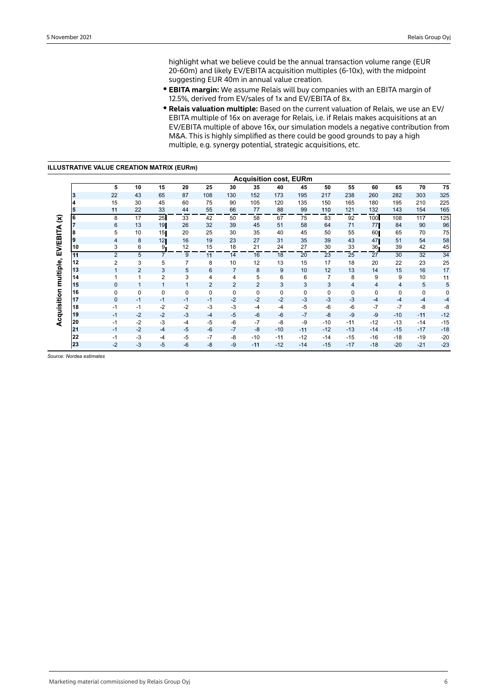highlight what we believe could be the annual transaction volume range (EUR 20-60m) and likely EV/EBITA acquisition multiples (6-10x), with the midpoint suggesting EUR 40m in annual value creation.

- **EBITA margin:** We assume Relais will buy companies with an EBITA margin of 12.5%, derived from EV/sales of 1x and EV/EBITA of 8x.
- **Relais valuation multiple:** Based on the current valuation of Relais, we use an EV/ EBITA multiple of 16x on average for Relais, i.e. if Relais makes acquisitions at an EV/EBITA multiple of above 16x, our simulation models a negative contribution from M&A. This is highly simplified as there could be good grounds to pay a high multiple, e.g. synergy potential, strategic acquisitions, etc.

|    |                |              |                |      |                |                |       |       | <b>Acquisition cost, EURm</b> |       |       |                  |       |       |       |
|----|----------------|--------------|----------------|------|----------------|----------------|-------|-------|-------------------------------|-------|-------|------------------|-------|-------|-------|
|    | 5              | 10           | 15             | 20   | 25             | 30             | 35    | 40    | 45                            | 50    | 55    | 60               | 65    | 70    | 75    |
| 3  | 22             | 43           | 65             | 87   | 108            | 130            | 152   | 173   | 195                           | 217   | 238   | 260              | 282   | 303   | 325   |
| 4  | 15             | 30           | 45             | 60   | 75             | 90             | 105   | 120   | 135                           | 150   | 165   | 180              | 195   | 210   | 225   |
| 5  | 11             | 22           | 33             | 44   | 55             | 66             | 77    | 88    | 99                            | 110   | 121   | 132              | 143   | 154   | 165   |
| 6  | 8              | 17           | 25             | 33   | 42             | 50             | 58    | 67    | 75                            | 83    | 92    | 100 <sup>1</sup> | 108   | 117   | 125   |
|    | 6              | 13           | 19             | 26   | 32             | 39             | 45    | 51    | 58                            | 64    | 71    | 77               | 84    | 90    | 96    |
| 8  | 5              | 10           | 15             | 20   | 25             | 30             | 35    | 40    | 45                            | 50    | 55    | 60               | 65    | 70    | 75    |
| Ι9 | 4              | 8            | 12             | 16   | 19             | 23             | 27    | 31    | 35                            | 39    | 43    | 47               | 51    | 54    | 58    |
| 10 | 3              | 6            | 9.             | 12   | 15             | 18             | 21    | 24    | 27                            | 30    | 33    | 36 <sup>2</sup>  | 39    | 42    | 45    |
| 11 | $\overline{2}$ | 5            | $\overline{7}$ | 9    | 11             | 14             | 16    | 18    | 20                            | 23    | 25    | 27               | 30    | 32    | 34    |
| 12 | 2              | 3            | 5              | 7    | 8              | 10             | 12    | 13    | 15                            | 17    | 18    | 20               | 22    | 23    | 25    |
| 13 | 1              | 2            | 3              | 5    | 6              | $\overline{7}$ | 8     | 9     | 10                            | 12    | 13    | 14               | 15    | 16    | 17    |
| 14 | 1              |              | $\overline{2}$ | 3    | 4              | 4              | 5     | 6     | 6                             | 7     | 8     | 9                | 9     | 10    | 11    |
| 15 | $\mathbf{0}$   | $\mathbf{1}$ | $\mathbf{1}$   | 1    | $\overline{2}$ | $\overline{2}$ | 2     | 3     | 3                             | 3     | 4     | $\overline{4}$   | 4     | 5     | 5     |
| 16 | 0              | 0            | 0              | 0    | 0              | 0              | 0     | 0     | 0                             | 0     | 0     | 0                | 0     | 0     | 0     |
| 17 | $\mathbf{0}$   | $-1$         | $-1$           | $-1$ | $-1$           | $-2$           | $-2$  | $-2$  | $-3$                          | $-3$  | $-3$  | $-4$             | $-4$  | $-4$  | $-4$  |
| 18 | $-1$           | -1           | $-2$           | $-2$ | -3             | $-3$           | $-4$  | $-4$  | $-5$                          | -6    | $-6$  | $-7$             | $-7$  | -8    | -8    |
| 19 | $-1$           | $-2$         | $-2$           | $-3$ | $-4$           | $-5$           | $-6$  | $-6$  | $-7$                          | $-8$  | $-9$  | -9               | $-10$ | $-11$ | $-12$ |
| 20 | $-1$           | $-2$         | $-3$           | $-4$ | $-5$           | $-6$           | $-7$  | -8    | $-9$                          | $-10$ | $-11$ | $-12$            | $-13$ | $-14$ | $-15$ |
| 21 | $-1$           | $-2$         | $-4$           | $-5$ | $-6$           | $-7$           | $-8$  | $-10$ | $-11$                         | $-12$ | $-13$ | $-14$            | $-15$ | $-17$ | $-18$ |
| 22 | $-1$           | $-3$         | $-4$           | $-5$ | $-7$           | -8             | $-10$ | $-11$ | $-12$                         | $-14$ | $-15$ | $-16$            | $-18$ | $-19$ | $-20$ |
| 23 | $-2$           | $-3$         | $-5$           | $-6$ | -8             | $-9$           | $-11$ | $-12$ | $-14$                         | $-15$ | $-17$ | $-18$            | $-20$ | $-21$ | $-23$ |

*Source: Nordea estimates*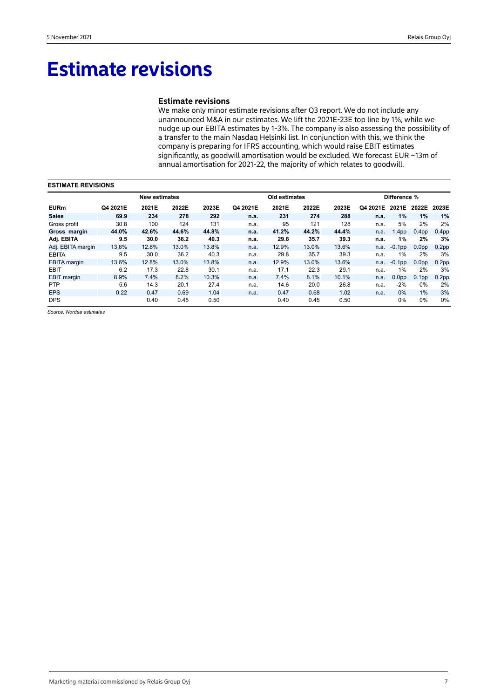# **Estimate revisions**

# **Estimate revisions**

We make only minor estimate revisions after Q3 report. We do not include any unannounced M&A in our estimates. We lift the 2021E-23E top line by 1%, while we nudge up our EBITA estimates by 1-3%. The company is also assessing the possibility of a transfer to the main Nasdaq Helsinki list. In conjunction with this, we think the company is preparing for IFRS accounting, which would raise EBIT estimates significantly, as goodwill amortisation would be excluded. We forecast EUR ~13m of annual amortisation for 2021-22, the majority of which relates to goodwill.

| <b>ESTIMATE REVISIONS</b> |          |                      |       |       |          |               |       |       |              |                   |                   |                   |  |
|---------------------------|----------|----------------------|-------|-------|----------|---------------|-------|-------|--------------|-------------------|-------------------|-------------------|--|
|                           |          | <b>New estimates</b> |       |       |          | Old estimates |       |       | Difference % |                   |                   |                   |  |
| <b>EURm</b>               | Q4 2021E | 2021E                | 2022E | 2023E | Q4 2021E | 2021E         | 2022E | 2023E | Q4 2021E     |                   | 2021E 2022E       | 2023E             |  |
| <b>Sales</b>              | 69.9     | 234                  | 278   | 292   | n.a.     | 231           | 274   | 288   | n.a.         | $1\%$             | $1\%$             | 1%                |  |
| Gross profit              | 30.8     | 100                  | 124   | 131   | n.a.     | 95            | 121   | 128   | n.a.         | 5%                | 2%                | 2%                |  |
| Gross margin              | 44.0%    | 42.6%                | 44.6% | 44.8% | n.a.     | 41.2%         | 44.2% | 44.4% | n.a.         | 1.4 <sub>pp</sub> | 0.4 <sub>pp</sub> | 0.4 <sub>pp</sub> |  |
| Adj. EBITA                | 9.5      | 30.0                 | 36.2  | 40.3  | n.a.     | 29.8          | 35.7  | 39.3  | n.a.         | $1\%$             | 2%                | 3%                |  |
| Adj. EBITA margin         | 13.6%    | 12.8%                | 13.0% | 13.8% | n.a.     | 12.9%         | 13.0% | 13.6% | n.a.         | $-0.1$ pp         | 0.0 <sub>pp</sub> | 0.2 <sub>pp</sub> |  |
| <b>EBITA</b>              | 9.5      | 30.0                 | 36.2  | 40.3  | n.a.     | 29.8          | 35.7  | 39.3  | n.a.         | $1\%$             | 2%                | 3%                |  |
| <b>EBITA</b> margin       | 13.6%    | 12.8%                | 13.0% | 13.8% | n.a.     | 12.9%         | 13.0% | 13.6% | n.a.         | $-0.1$ pp         | 0.0 <sub>pp</sub> | 0.2 <sub>pp</sub> |  |
| <b>EBIT</b>               | 6.2      | 17.3                 | 22.8  | 30.1  | n.a.     | 17.1          | 22.3  | 29.1  | n.a.         | 1%                | 2%                | 3%                |  |
| <b>EBIT</b> margin        | 8.9%     | 7.4%                 | 8.2%  | 10.3% | n.a.     | 7.4%          | 8.1%  | 10.1% | n.a.         | 0.0 <sub>pp</sub> | 0.1 <sub>pp</sub> | 0.2 <sub>pp</sub> |  |
| <b>PTP</b>                | 5.6      | 14.3                 | 20.1  | 27.4  | n.a.     | 14.6          | 20.0  | 26.8  | n.a.         | $-2%$             | 0%                | 2%                |  |
| <b>EPS</b>                | 0.22     | 0.47                 | 0.69  | 1.04  | n.a.     | 0.47          | 0.68  | 1.02  | n.a.         | $0\%$             | $1\%$             | 3%                |  |
| <b>DPS</b>                |          | 0.40                 | 0.45  | 0.50  |          | 0.40          | 0.45  | 0.50  |              | 0%                | 0%                | $0\%$             |  |

*Source: Nordea estimates*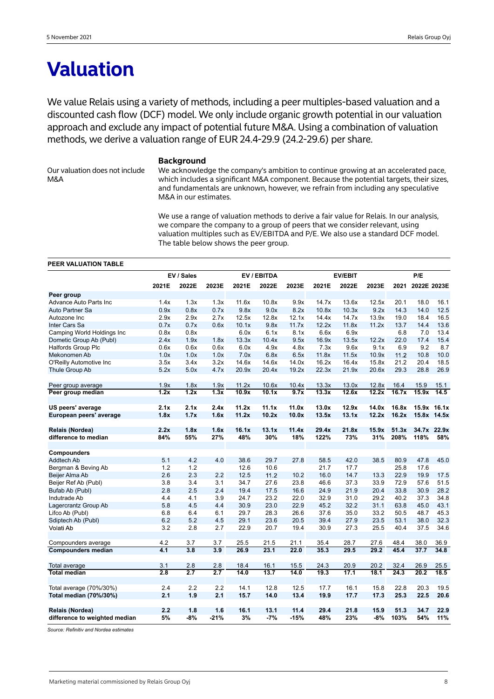# **Valuation**

We value Relais using a variety of methods, including a peer multiples-based valuation and a discounted cash flow (DCF) model. We only include organic growth potential in our valuation approach and exclude any impact of potential future M&A. Using a combination of valuation methods, we derive a valuation range of EUR 24.4-29.9 (24.2-29.6) per share.

Our valuation does not include M&A

#### **Background**

We acknowledge the company's ambition to continue growing at an accelerated pace, which includes a significant M&A component. Because the potential targets, their sizes, and fundamentals are unknown, however, we refrain from including any speculative M&A in our estimates.

We use a range of valuation methods to derive a fair value for Relais. In our analysis, we compare the company to a group of peers that we consider relevant, using valuation multiples such as EV/EBITDA and P/E. We also use a standard DCF model. The table below shows the peer group.

#### **PEER VALUATION TABLE**

|                               |       | EV / Sales       |                   |       | EV / EBITDA |        |       | <b>EV/EBIT</b> | P/E   |       |             |             |
|-------------------------------|-------|------------------|-------------------|-------|-------------|--------|-------|----------------|-------|-------|-------------|-------------|
|                               | 2021E | 2022E            | 2023E             | 2021E | 2022E       | 2023E  | 2021E | 2022E          | 2023E | 2021  | 2022E 2023E |             |
| Peer group                    |       |                  |                   |       |             |        |       |                |       |       |             |             |
| <b>Advance Auto Parts Inc</b> | 1.4x  | 1.3x             | 1.3x              | 11.6x | 10.8x       | 9.9x   | 14.7x | 13.6x          | 12.5x | 20.1  | 18.0        | 16.1        |
| Auto Partner Sa               | 0.9x  | 0.8x             | 0.7x              | 9.8x  | 9.0x        | 8.2x   | 10.8x | 10.3x          | 9.2x  | 14.3  | 14.0        | 12.5        |
| Autozone Inc                  | 2.9x  | 2.9x             | 2.7x              | 12.5x | 12.8x       | 12.1x  | 14.4x | 14.7x          | 13.9x | 19.0  | 18.4        | 16.5        |
| Inter Cars Sa                 | 0.7x  | 0.7x             | 0.6x              | 10.1x | 9.8x        | 11.7x  | 12.2x | 11.8x          | 11.2x | 13.7  | 14.4        | 13.6        |
| Camping World Holdings Inc    | 0.8x  | 0.8x             |                   | 6.0x  | 6.1x        | 8.1x   | 6.6x  | 6.9x           |       | 6.8   | 7.0         | 13.4        |
| Dometic Group Ab (Publ)       | 2.4x  | 1.9x             | 1.8x              | 13.3x | 10.4x       | 9.5x   | 16.9x | 13.5x          | 12.2x | 22.0  | 17.4        | 15.4        |
| <b>Halfords Group Plc</b>     | 0.6x  | 0.6x             | 0.6x              | 6.0x  | 4.9x        | 4.8x   | 7.3x  | 9.6x           | 9.1x  | 6.9   | 9.2         | 8.7         |
| Mekonomen Ab                  | 1.0x  | 1.0x             | 1.0x              | 7.0x  | 6.8x        | 6.5x   | 11.8x | 11.5x          | 10.9x | 11.2  | 10.8        | 10.0        |
| O'Reilly Automotive Inc       | 3.5x  | 3.4x             | 3.2x              | 14.6x | 14.6x       | 14.0x  | 16.2x | 16.4x          | 15.8x | 21.2  | 20.4        | 18.5        |
| Thule Group Ab                | 5.2x  | 5.0x             | 4.7x              | 20.9x | 20.4x       | 19.2x  | 22.3x | 21.9x          | 20.6x | 29.3  | 28.8        | 26.9        |
| Peer group average            | 1.9x  | 1.8x             | 1.9x              | 11.2x | 10.6x       | 10.4x  | 13.3x | 13.0x          | 12.8x | 16.4  | 15.9        | 15.1        |
| Peer group median             | 1.2x  | 1.2x             | $\overline{1.3x}$ | 10.9x | 10.1x       | 9.7x   | 13.3x | 12.6x          | 12.2x | 16.7x | 15.9x       | 14.5        |
| US peers' average             | 2.1x  | 2.1x             | 2.4x              | 11.2x | 11.1x       | 11.0x  | 13.0x | 12.9x          | 14.0x | 16.8x |             | 15.9x 16.1x |
| European peers' average       | 1.8x  | 1.7x             | 1.6x              | 11.2x | 10.2x       | 10.0x  | 13.5x | 13.1x          | 12.2x | 16.2x |             | 15.8x 14.5x |
|                               |       |                  |                   |       |             |        |       |                |       |       |             |             |
| Relais (Nordea)               | 2.2x  | 1.8x             | 1.6x              | 16.1x | 13.1x       | 11.4x  | 29.4x | 21.8x          | 15.9x | 51.3x |             | 34.7x 22.9x |
| difference to median          | 84%   | 55%              | 27%               | 48%   | 30%         | 18%    | 122%  | 73%            | 31%   | 208%  | 118%        | 58%         |
| Compounders                   |       |                  |                   |       |             |        |       |                |       |       |             |             |
| <b>Addtech Ab</b>             | 5.1   | 4.2              | 4.0               | 38.6  | 29.7        | 27.8   | 58.5  | 42.0           | 38.5  | 80.9  | 47.8        | 45.0        |
| Bergman & Beving Ab           | 1.2   | 1.2              |                   | 12.6  | 10.6        |        | 21.7  | 17.7           |       | 25.8  | 17.6        |             |
| Beijer Alma Ab                | 2.6   | 2.3              | 2.2               | 12.5  | 11.2        | 10.2   | 16.0  | 14.7           | 13.3  | 22.9  | 19.9        | 17.5        |
| Beijer Ref Ab (Publ)          | 3.8   | 3.4              | 3.1               | 34.7  | 27.6        | 23.8   | 46.6  | 37.3           | 33.9  | 72.9  | 57.6        | 51.5        |
| Bufab Ab (Publ)               | 2.8   | 2.5              | 2.4               | 19.4  | 17.5        | 16.6   | 24.9  | 21.9           | 20.4  | 33.8  | 30.9        | 28.2        |
| Indutrade Ab                  | 4.4   | 4.1              | 3.9               | 24.7  | 23.2        | 22.0   | 32.9  | 31.0           | 29.2  | 40.2  | 37.3        | 34.8        |
| Lagercrantz Group Ab          | 5.8   | 4.5              | 4.4               | 30.9  | 23.0        | 22.9   | 45.2  | 32.2           | 31.1  | 63.8  | 45.0        | 43.1        |
| Lifco Ab (Publ)               | 6.8   | 6.4              | 6.1               | 29.7  | 28.3        | 26.6   | 37.6  | 35.0           | 33.2  | 50.5  | 48.7        | 45.3        |
| Sdiptech Ab (Publ)            | 6.2   | 5.2              | 4.5               | 29.1  | 23.6        | 20.5   | 39.4  | 27.9           | 23.5  | 53.1  | 38.0        | 32.3        |
| Volati Ab                     | 3.2   | 2.8              | 2.7               | 22.9  | 20.7        | 19.4   | 30.9  | 27.3           | 25.5  | 40.4  | 37.5        | 34.6        |
| Compounders average           | 4.2   | 3.7              | 3.7               | 25.5  | 21.5        | 21.1   | 35.4  | 28.7           | 27.6  | 48.4  | 38.0        | 36.9        |
| <b>Compounders median</b>     | 4.1   | $\overline{3.8}$ | $\overline{3.9}$  | 26.9  | 23.1        | 22.0   | 35.3  | 29.5           | 29.2  | 45.4  | 37.7        | 34.8        |
|                               |       |                  |                   |       |             |        |       |                |       |       |             |             |
| Total average                 | 3.1   | 2.8              | 2.8               | 18.4  | 16.1        | 15.5   | 24.3  | 20.9           | 20.2  | 32.4  | 26.9        | 25.5        |
| <b>Total median</b>           | 2.8   | 2.7              | 2.7               | 14.0  | 13.7        | 14.0   | 19.3  | 17.1           | 18.1  | 24.3  | 20.2        | 18.5        |
| Total average (70%/30%)       | 2.4   | 2.2              | 2.2               | 14.1  | 12.8        | 12.5   | 17.7  | 16.1           | 15.8  | 22.8  | 20.3        | 19.5        |
| Total median (70%/30%)        | 2.1   | 1.9              | 2.1               | 15.7  | 14.0        | 13.4   | 19.9  | 17.7           | 17.3  | 25.3  | 22.5        | 20.6        |
|                               |       |                  |                   |       |             |        |       |                |       |       |             |             |
| Relais (Nordea)               | 2.2   | 1.8              | 1.6               | 16.1  | 13.1        | 11.4   | 29.4  | 21.8           | 15.9  | 51.3  | 34.7        | 22.9        |
| difference to weighted median | 5%    | -8%              | $-21%$            | 3%    | $-7%$       | $-15%$ | 48%   | 23%            | $-8%$ | 103%  | 54%         | 11%         |

*Source: Refinitiv and Nordea estimates*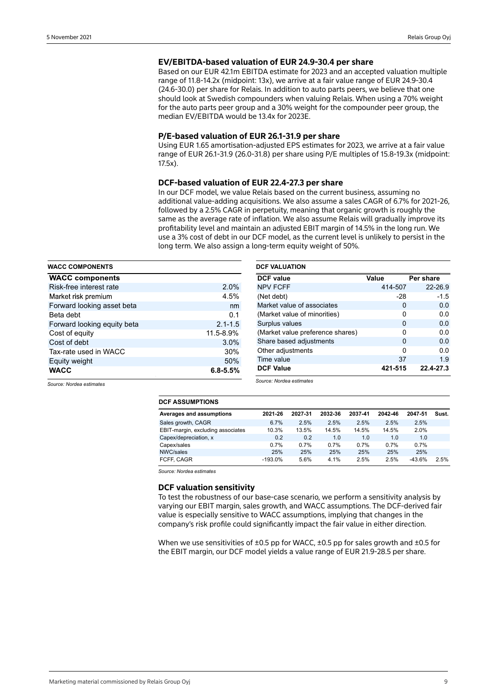### **EV/EBITDA-based valuation of EUR 24.9-30.4 per share**

Based on our EUR 42.1m EBITDA estimate for 2023 and an accepted valuation multiple range of 11.8-14.2x (midpoint: 13x), we arrive at a fair value range of EUR 24.9-30.4 (24.6-30.0) per share for Relais. In addition to auto parts peers, we believe that one should look at Swedish compounders when valuing Relais. When using a 70% weight for the auto parts peer group and a 30% weight for the compounder peer group, the median EV/EBITDA would be 13.4x for 2023E.

#### **P/E-based valuation of EUR 26.1-31.9 per share**

Using EUR 1.65 amortisation-adjusted EPS estimates for 2023, we arrive at a fair value range of EUR 26.1-31.9 (26.0-31.8) per share using P/E multiples of 15.8-19.3x (midpoint: 17.5x).

### **DCF-based valuation of EUR 22.4-27.3 per share**

In our DCF model, we value Relais based on the current business, assuming no additional value-adding acquisitions. We also assume a sales CAGR of 6.7% for 2021-26, followed by a 2.5% CAGR in perpetuity, meaning that organic growth is roughly the same as the average rate of inflation. We also assume Relais will gradually improve its profitability level and maintain an adjusted EBIT margin of 14.5% in the long run. We use a 3% cost of debt in our DCF model, as the current level is unlikely to persist in the long term. We also assign a long-term equity weight of 50%.

| <b>WACC COMPONENTS</b>      |              | <b>DCF VALUATION</b>             |              |           |  |  |  |  |
|-----------------------------|--------------|----------------------------------|--------------|-----------|--|--|--|--|
| <b>WACC components</b>      |              | <b>DCF</b> value                 | Value        | Per share |  |  |  |  |
| Risk-free interest rate     | 2.0%         | <b>NPV FCFF</b>                  | 414-507      | 22-26.9   |  |  |  |  |
| Market risk premium         | 4.5%         | (Net debt)                       | -28          | $-1.5$    |  |  |  |  |
| Forward looking asset beta  | nm           | Market value of associates       | $\mathbf{0}$ | 0.0       |  |  |  |  |
| Beta debt                   | 0.1          | (Market value of minorities)     | 0            | 0.0       |  |  |  |  |
| Forward looking equity beta | $2.1 - 1.5$  | Surplus values                   | $\mathbf{0}$ | 0.0       |  |  |  |  |
| Cost of equity              | 11.5-8.9%    | (Market value preference shares) | $\mathbf{0}$ | 0.0       |  |  |  |  |
| Cost of debt                | $3.0\%$      | Share based adjustments          | $\Omega$     | 0.0       |  |  |  |  |
| Tax-rate used in WACC       | 30%          | Other adjustments                | 0            | 0.0       |  |  |  |  |
| Equity weight               | 50%          | Time value                       | 37           | 1.9       |  |  |  |  |
| <b>WACC</b>                 | $6.8 - 5.5%$ | <b>DCF Value</b>                 | 421-515      | 22.4-27.3 |  |  |  |  |

*Source: Nordea estimates*

*Source: Nordea estimates*

| טווטוויוטטאר וטש                  |           |         |         |         |         |          |       |
|-----------------------------------|-----------|---------|---------|---------|---------|----------|-------|
| Averages and assumptions          | 2021-26   | 2027-31 | 2032-36 | 2037-41 | 2042-46 | 2047-51  | Sust. |
| Sales growth, CAGR                | 6.7%      | 2.5%    | 2.5%    | 2.5%    | 2.5%    | 2.5%     |       |
| EBIT-margin, excluding associates | 10.3%     | 13.5%   | 14.5%   | 14.5%   | 14.5%   | 2.0%     |       |
| Capex/depreciation, x             | 0.2       | 0.2     | 1.0     | 1.0     | 1.0     | 1.0      |       |
| Capex/sales                       | 0.7%      | 0.7%    | 0.7%    | 0.7%    | 0.7%    | 0.7%     |       |
| NWC/sales                         | 25%       | 25%     | 25%     | 25%     | 25%     | 25%      |       |
| FCFF. CAGR                        | $-193.0%$ | 5.6%    | 4.1%    | 2.5%    | 2.5%    | $-43.6%$ | 2.5%  |

*Source: Nordea estimates*

**DCF ASSUMPTIONS**

### **DCF valuation sensitivity**

To test the robustness of our base-case scenario, we perform a sensitivity analysis by varying our EBIT margin, sales growth, and WACC assumptions. The DCF-derived fair value is especially sensitive to WACC assumptions, implying that changes in the company's risk profile could significantly impact the fair value in either direction.

When we use sensitivities of  $\pm 0.5$  pp for WACC,  $\pm 0.5$  pp for sales growth and  $\pm 0.5$  for the EBIT margin, our DCF model yields a value range of EUR 21.9-28.5 per share.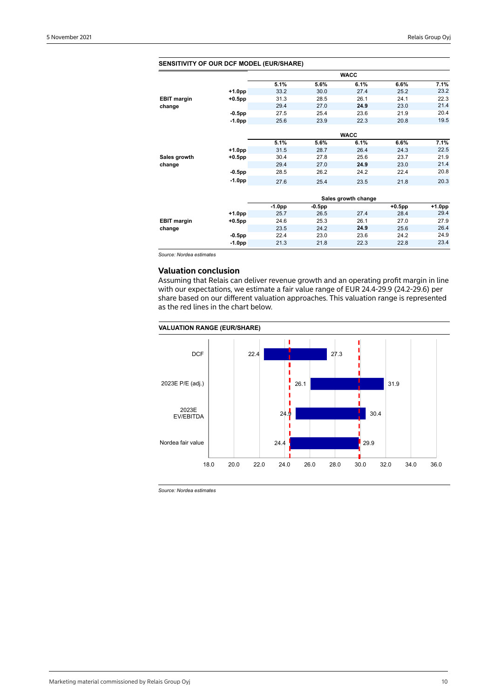| <b>SENSITIVITY OF OUR DCF MODEL (EUR/SHARE)</b> |           |          |        |                     |           |        |
|-------------------------------------------------|-----------|----------|--------|---------------------|-----------|--------|
|                                                 |           |          |        | <b>WACC</b>         |           |        |
|                                                 |           | 5.1%     | 5.6%   | 6.1%                | 6.6%      | 7.1%   |
|                                                 | $+1.0pp$  | 33.2     | 30.0   | 27.4                | 25.2      | 23.2   |
| <b>EBIT margin</b>                              | $+0.5$ pp | 31.3     | 28.5   | 26.1                | 24.1      | 22.3   |
| change                                          |           | 29.4     | 27.0   | 24.9                | 23.0      | 21.4   |
|                                                 | $-0.5$ pp | 27.5     | 25.4   | 23.6                | 21.9      | 20.4   |
|                                                 | $-1.0pp$  | 25.6     | 23.9   | 22.3                | 20.8      | 19.5   |
|                                                 |           |          |        |                     |           |        |
|                                                 |           |          |        | <b>WACC</b>         |           |        |
|                                                 |           | 5.1%     | 5.6%   | 6.1%                | 6.6%      | 7.1%   |
|                                                 | $+1.0pp$  | 31.5     | 28.7   | 26.4                | 24.3      | 22.5   |
| Sales growth                                    | +0.5pp    | 30.4     | 27.8   | 25.6                | 23.7      | 21.9   |
| change                                          |           | 29.4     | 27.0   | 24.9                | 23.0      | 21.4   |
|                                                 | $-0.5$ pp | 28.5     | 26.2   | 24.2                | 22.4      | 20.8   |
|                                                 | $-1.0pp$  | 27.6     | 25.4   | 23.5                | 21.8      | 20.3   |
|                                                 |           |          |        |                     |           |        |
|                                                 |           |          |        | Sales growth change |           |        |
|                                                 |           | $-1.0pp$ | -0.5pp |                     | $+0.5$ pp | +1.0pp |
|                                                 | +1.0pp    | 25.7     | 26.5   | 27.4                | 28.4      | 29.4   |
| <b>EBIT margin</b>                              | +0.5pp    | 24.6     | 25.3   | 26.1                | 27.0      | 27.9   |
| change                                          |           | 23.5     | 24.2   | 24.9                | 25.6      | 26.4   |
|                                                 | $-0.5$ pp | 22.4     | 23.0   | 23.6                | 24.2      | 24.9   |
|                                                 | $-1.0pp$  | 21.3     | 21.8   | 22.3                | 22.8      | 23.4   |
|                                                 |           |          |        |                     |           |        |

*Source: Nordea estimates*

# **Valuation conclusion**

Assuming that Relais can deliver revenue growth and an operating profit margin in line with our expectations, we estimate a fair value range of EUR 24.4-29.9 (24.2-29.6) per share based on our different valuation approaches. This valuation range is represented as the red lines in the chart below.

#### **VALUATION RANGE (EUR/SHARE)**



*Source: Nordea estimates*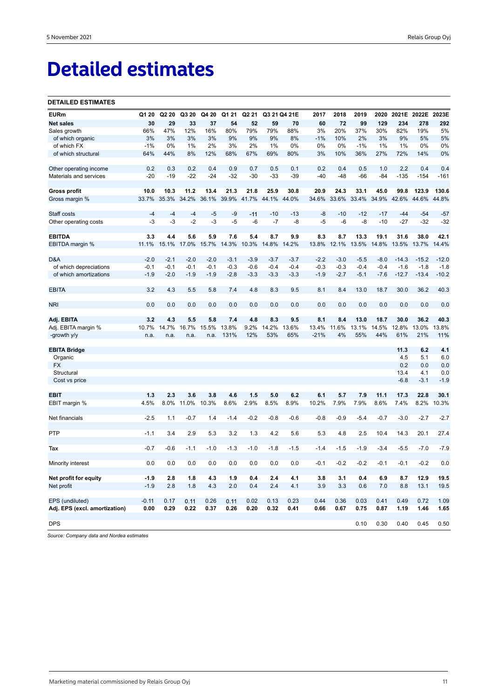# **Detailed estimates**

#### **DETAILED ESTIMATES**

| <b>EURm</b>                   | Q1 20   | Q2 20  | Q3 20  | Q4 20  | Q1 21  | Q <sub>2</sub> 21 |        | Q3 21 Q4 21E | 2017   | 2018   | 2019   | 2020   | 2021E   | 2022E 2023E |         |
|-------------------------------|---------|--------|--------|--------|--------|-------------------|--------|--------------|--------|--------|--------|--------|---------|-------------|---------|
| <b>Net sales</b>              | 30      | 29     | 33     | 37     | 54     | 52                | 59     | 70           | 60     | 72     | 99     | 129    | 234     | 278         | 292     |
| Sales growth                  | 66%     | 47%    | 12%    | 16%    | 80%    | 79%               | 79%    | 88%          | 3%     | 20%    | 37%    | 30%    | 82%     | 19%         | 5%      |
| of which organic              | 3%      | 3%     | 3%     | 3%     | 9%     | 9%                | 9%     | 8%           | $-1%$  | 10%    | 2%     | 3%     | 9%      | 5%          | 5%      |
| of which FX                   | $-1%$   | 0%     | 1%     | 2%     | 3%     | 2%                | 1%     | 0%           | 0%     | 0%     | $-1%$  | 1%     | 1%      | 0%          | 0%      |
| of which structural           | 64%     | 44%    | 8%     | 12%    | 68%    | 67%               | 69%    | 80%          | 3%     | 10%    | 36%    | 27%    | 72%     | 14%         | 0%      |
| Other operating income        | 0.2     | 0.3    | 0.2    | 0.4    | 0.9    | 0.7               | 0.5    | 0.1          | 0.2    | 0.4    | 0.5    | 1.0    | 2.2     | 0.4         | 0.4     |
| Materials and services        | $-20$   | $-19$  | $-22$  | $-24$  | $-32$  | $-30$             | $-33$  | $-39$        | $-40$  | $-48$  | -66    | $-84$  | $-135$  | $-154$      | $-161$  |
| <b>Gross profit</b>           | 10.0    | 10.3   | 11.2   | 13.4   | 21.3   | 21.8              | 25.9   | 30.8         | 20.9   | 24.3   | 33.1   | 45.0   | 99.8    | 123.9       | 130.6   |
| Gross margin %                | 33.7%   | 35.3%  | 34.2%  | 36.1%  | 39.9%  | 41.7%             | 44.1%  | 44.0%        | 34.6%  | 33.6%  | 33.4%  | 34.9%  | 42.6%   | 44.6%       | 44.8%   |
| Staff costs                   | $-4$    | $-4$   | $-4$   | $-5$   | $-9$   | $-11$             | $-10$  | $-13$        | $-8$   | $-10$  | $-12$  | $-17$  | $-44$   | $-54$       | $-57$   |
| Other operating costs         | $-3$    | $-3$   | $-2$   | -3     | $-5$   | $-6$              | $-7$   | -8           | $-5$   | $-6$   | $-8$   | $-10$  | $-27$   | $-32$       | $-32$   |
| <b>EBITDA</b>                 | 3.3     | 4.4    | 5.6    | 5.9    | 7.6    | 5.4               | 8.7    | 9.9          | 8.3    | 8.7    | 13.3   | 19.1   | 31.6    | 38.0        | 42.1    |
| EBITDA margin %               | 11.1%   | 15.1%  | 17.0%  | 15.7%  | 14.3%  | 10.3%             | 14.8%  | 14.2%        | 13.8%  | 12.1%  | 13.5%  | 14.8%  | 13.5%   | 13.7%       | 14.4%   |
| D&A                           | $-2.0$  | $-2.1$ | $-2.0$ | $-2.0$ | $-3.1$ | $-3.9$            | $-3.7$ | $-3.7$       | $-2.2$ | $-3.0$ | $-5.5$ | $-8.0$ | $-14.3$ | $-15.2$     | $-12.0$ |
| of which depreciations        | $-0.1$  | $-0.1$ | $-0.1$ | $-0.1$ | $-0.3$ | $-0.6$            | $-0.4$ | $-0.4$       | $-0.3$ | $-0.3$ | $-0.4$ | $-0.4$ | $-1.6$  | $-1.8$      | $-1.8$  |
| of which amortizations        | $-1.9$  | $-2.0$ | $-1.9$ | $-1.9$ | $-2.8$ | $-3.3$            | $-3.3$ | $-3.3$       | $-1.9$ | $-2.7$ | $-5.1$ | $-7.6$ | $-12.7$ | $-13.4$     | $-10.2$ |
| <b>EBITA</b>                  | 3.2     | 4.3    | 5.5    | 5.8    | 7.4    | 4.8               | 8.3    | 9.5          | 8.1    | 8.4    | 13.0   | 18.7   | 30.0    | 36.2        | 40.3    |
| <b>NRI</b>                    | 0.0     | 0.0    | 0.0    | 0.0    | 0.0    | 0.0               | 0.0    | 0.0          | 0.0    | 0.0    | 0.0    | 0.0    | 0.0     | 0.0         | 0.0     |
| Adj. EBITA                    | 3.2     | 4.3    | 5.5    | 5.8    | 7.4    | 4.8               | 8.3    | 9.5          | 8.1    | 8.4    | 13.0   | 18.7   | 30.0    | 36.2        | 40.3    |
| Adj. EBITA margin %           | 10.7%   | 14.7%  | 16.7%  | 15.5%  | 13.8%  | 9.2%              | 14.2%  | 13.6%        | 13.4%  | 11.6%  | 13.1%  | 14.5%  | 12.8%   | 13.0%       | 13.8%   |
| -growth y/y                   | n.a.    | n.a.   | n.a.   | n.a.   | 131%   | 12%               | 53%    | 65%          | $-21%$ | 4%     | 55%    | 44%    | 61%     | 21%         | 11%     |
| <b>EBITA Bridge</b>           |         |        |        |        |        |                   |        |              |        |        |        |        | 11.3    | 6.2         | 4.1     |
| Organic                       |         |        |        |        |        |                   |        |              |        |        |        |        | 4.5     | 5.1         | 6.0     |
| <b>FX</b>                     |         |        |        |        |        |                   |        |              |        |        |        |        | 0.2     | 0.0         | 0.0     |
| Structural                    |         |        |        |        |        |                   |        |              |        |        |        |        | 13.4    | 4.1         | 0.0     |
| Cost vs price                 |         |        |        |        |        |                   |        |              |        |        |        |        | $-6.8$  | $-3.1$      | $-1.9$  |
| EBIT                          | 1.3     | 2.3    | 3.6    | 3.8    | 4.6    | 1.5               | 5.0    | 6.2          | 6.1    | 5.7    | 7.9    | 11.1   | 17.3    | 22.8        | 30.1    |
| EBIT margin %                 | 4.5%    | 8.0%   | 11.0%  | 10.3%  | 8.6%   | 2.9%              | 8.5%   | 8.9%         | 10.2%  | 7.9%   | 7.9%   | 8.6%   | 7.4%    | 8.2%        | 10.3%   |
|                               |         |        |        |        |        |                   |        |              |        |        |        |        |         |             |         |
| Net financials                | $-2.5$  | 1.1    | $-0.7$ | 1.4    | $-1.4$ | $-0.2$            | $-0.8$ | $-0.6$       | $-0.8$ | $-0.9$ | $-5.4$ | $-0.7$ | $-3.0$  | $-2.7$      | $-2.7$  |
| <b>PTP</b>                    | $-1.1$  | 3.4    | 2.9    | 5.3    | 3.2    | 1.3               | 4.2    | 5.6          | 5.3    | 4.8    | 2.5    | 10.4   | 14.3    | 20.1        | 27.4    |
| Tax                           | $-0.7$  | $-0.6$ | $-1.1$ | $-1.0$ | $-1.3$ | $-1.0$            | $-1.8$ | $-1.5$       | $-1.4$ | $-1.5$ | $-1.9$ | $-3.4$ | $-5.5$  | $-7.0$      | $-7.9$  |
|                               |         |        |        |        |        |                   |        |              |        |        |        |        |         |             |         |
| Minority interest             | 0.0     | 0.0    | 0.0    | 0.0    | 0.0    | 0.0               | 0.0    | 0.0          | $-0.1$ | $-0.2$ | $-0.2$ | $-0.1$ | $-0.1$  | $-0.2$      | 0.0     |
| Net profit for equity         | $-1.9$  | 2.8    | 1.8    | 4.3    | 1.9    | 0.4               | 2.4    | 4.1          | 3.8    | 3.1    | 0.4    | 6.9    | 8.7     | 12.9        | 19.5    |
| Net profit                    | $-1.9$  | 2.8    | 1.8    | 4.3    | 2.0    | 0.4               | 2.4    | 4.1          | 3.9    | 3.3    | 0.6    | 7.0    | 8.8     | 13.1        | 19.5    |
| EPS (undiluted)               | $-0.11$ | 0.17   | 0.11   | 0.26   | 0.11   | 0.02              | 0.13   | 0.23         | 0.44   | 0.36   | 0.03   | 0.41   | 0.49    | 0.72        | 1.09    |
| Adj. EPS (excl. amortization) | 0.00    | 0.29   | 0.22   | 0.37   | 0.26   | 0.20              | 0.32   | 0.41         | 0.66   | 0.67   | 0.75   | 0.87   | 1.19    | 1.46        | 1.65    |
| <b>DPS</b>                    |         |        |        |        |        |                   |        |              |        |        | 0.10   | 0.30   | 0.40    | 0.45        | 0.50    |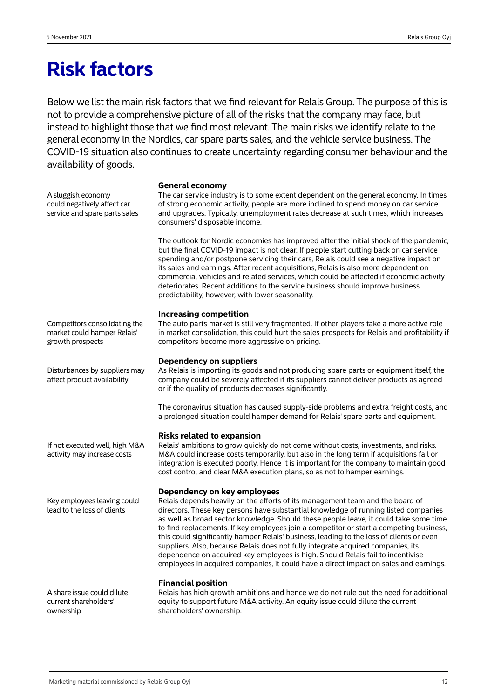# **Risk factors**

Below we list the main risk factors that we find relevant for Relais Group. The purpose of this is not to provide a comprehensive picture of all of the risks that the company may face, but instead to highlight those that we find most relevant. The main risks we identify relate to the general economy in the Nordics, car spare parts sales, and the vehicle service business. The COVID-19 situation also continues to create uncertainty regarding consumer behaviour and the availability of goods.

A sluggish economy could negatively affect car service and spare parts sales

#### **General economy**

The car service industry is to some extent dependent on the general economy. In times of strong economic activity, people are more inclined to spend money on car service and upgrades. Typically, unemployment rates decrease at such times, which increases consumers' disposable income.

The outlook for Nordic economies has improved after the initial shock of the pandemic, but the final COVID-19 impact is not clear. If people start cutting back on car service spending and/or postpone servicing their cars, Relais could see a negative impact on its sales and earnings. After recent acquisitions, Relais is also more dependent on commercial vehicles and related services, which could be affected if economic activity deteriorates. Recent additions to the service business should improve business predictability, however, with lower seasonality.

### **Increasing competition**

The auto parts market is still very fragmented. If other players take a more active role in market consolidation, this could hurt the sales prospects for Relais and profitability if competitors become more aggressive on pricing.

# **Dependency on suppliers**

As Relais is importing its goods and not producing spare parts or equipment itself, the company could be severely affected if its suppliers cannot deliver products as agreed or if the quality of products decreases significantly.

The coronavirus situation has caused supply-side problems and extra freight costs, and a prolonged situation could hamper demand for Relais' spare parts and equipment.

## **Risks related to expansion**

Relais' ambitions to grow quickly do not come without costs, investments, and risks. M&A could increase costs temporarily, but also in the long term if acquisitions fail or integration is executed poorly. Hence it is important for the company to maintain good cost control and clear M&A execution plans, so as not to hamper earnings.

## **Dependency on key employees**

Relais depends heavily on the efforts of its management team and the board of directors. These key persons have substantial knowledge of running listed companies as well as broad sector knowledge. Should these people leave, it could take some time to find replacements. If key employees join a competitor or start a competing business, this could significantly hamper Relais' business, leading to the loss of clients or even suppliers. Also, because Relais does not fully integrate acquired companies, its dependence on acquired key employees is high. Should Relais fail to incentivise employees in acquired companies, it could have a direct impact on sales and earnings.

## **Financial position**

Relais has high growth ambitions and hence we do not rule out the need for additional equity to support future M&A activity. An equity issue could dilute the current shareholders' ownership.

Competitors consolidating the market could hamper Relais' growth prospects

Disturbances by suppliers may affect product availability

If not executed well, high M&A activity may increase costs

Key employees leaving could lead to the loss of clients

A share issue could dilute current shareholders' ownership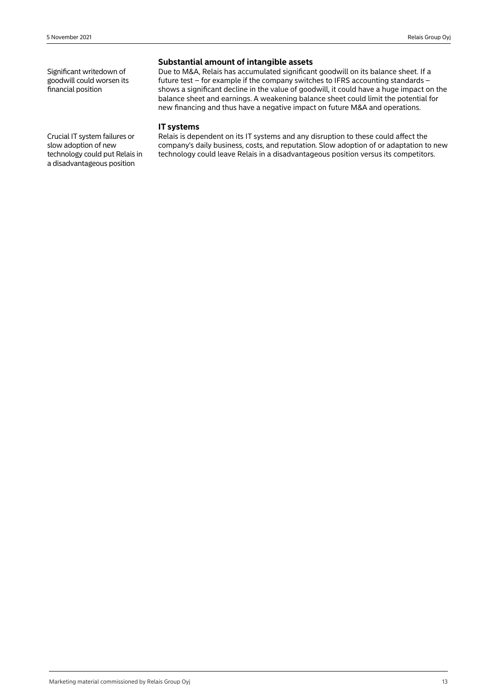Significant writedown of goodwill could worsen its financial position

# **Substantial amount of intangible assets**

Due to M&A, Relais has accumulated significant goodwill on its balance sheet. If a future test – for example if the company switches to IFRS accounting standards – shows a significant decline in the value of goodwill, it could have a huge impact on the balance sheet and earnings. A weakening balance sheet could limit the potential for new financing and thus have a negative impact on future M&A and operations.

### **IT systems**

Relais is dependent on its IT systems and any disruption to these could affect the company's daily business, costs, and reputation. Slow adoption of or adaptation to new technology could leave Relais in a disadvantageous position versus its competitors.

Crucial IT system failures or slow adoption of new technology could put Relais in a disadvantageous position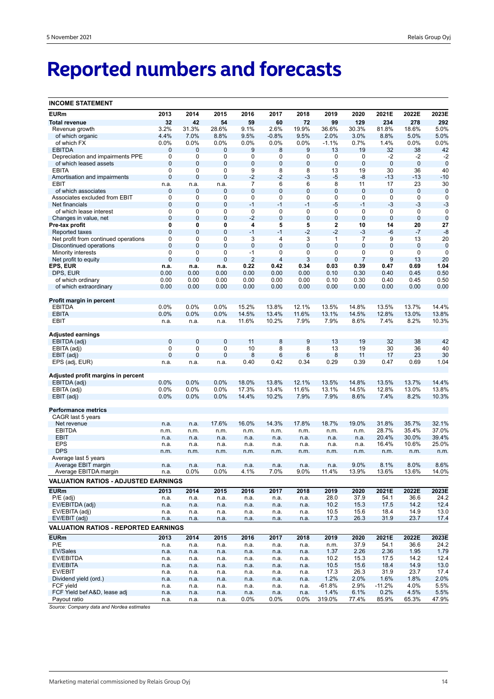# **Reported numbers and forecasts**

| <b>INCOME STATEMENT</b>                     |                |                |                 |                |                |                |                |                |                |              |              |
|---------------------------------------------|----------------|----------------|-----------------|----------------|----------------|----------------|----------------|----------------|----------------|--------------|--------------|
| <b>EURm</b>                                 | 2013           | 2014           | 2015            | 2016           | 2017           | 2018           | 2019           | 2020           | 2021E          | 2022E        | 2023E        |
| <b>Total revenue</b>                        | 32             | 42             | 54              | 59             | 60             | 72             | 99             | 129            | 234            | 278          | 292          |
| Revenue growth                              | 3.2%           | 31.3%          | 28.6%           | 9.1%           | 2.6%           | 19.9%          | 36.6%          | 30.3%          | 81.8%          | 18.6%        | 5.0%         |
| of which organic                            | 4.4%           | 7.0%           | 8.8%            | 9.5%           | $-0.8%$        | 9.5%           | 2.0%           | 3.0%           | 8.8%           | 5.0%         | 5.0%         |
| of which FX                                 | 0.0%           | 0.0%           | 0.0%            | 0.0%           | 0.0%           | 0.0%           | $-1.1%$        | 0.7%           | 1.4%           | 0.0%         | 0.0%         |
| <b>EBITDA</b>                               | 0              | $\mathbf{0}$   | 0               | 9              | 8              | 9              | 13             | 19             | 32             | 38           | 42           |
| Depreciation and impairments PPE            | 0              | 0              | 0               | 0              | 0              | 0              | 0              | 0              | -2             | $-2$         | $-2$         |
| of which leased assets                      | $\mathbf{0}$   | $\mathbf{0}$   | 0               | 0              | 0              | $\mathbf 0$    | $\mathbf 0$    | $\mathbf 0$    | $\mathbf 0$    | $\mathbf 0$  | $\mathbf 0$  |
| <b>EBITA</b>                                | $\mathbf 0$    | 0              | 0               | 9              | 8              | 8              | 13             | 19             | 30             | 36           | 40           |
| Amortisation and impairments<br>EBIT        | $\mathbf 0$    | $\mathbf 0$    | $\mathbf 0$     | $-2$<br>7      | $-2$<br>6      | $-3$<br>6      | $-5$<br>8      | -8<br>11       | $-13$<br>17    | $-13$<br>23  | $-10$<br>30  |
| of which associates                         | n.a.<br>0      | n.a.<br>0      | n.a.<br>0       | 0              | $\overline{0}$ | $\mathbf 0$    | 0              | $\mathbf 0$    | 0              | $\mathbf 0$  | $\mathbf 0$  |
| Associates excluded from EBIT               | $\mathbf 0$    | 0              | 0               | 0              | 0              | 0              | 0              | 0              | 0              | $\mathbf 0$  | $\mathbf 0$  |
| Net financials                              | $\mathbf 0$    | $\mathbf 0$    | $\mathbf 0$     | $-1$           | $-1$           | $-1$           | $-5$           | $-1$           | $-3$           | $-3$         | $-3$         |
| of which lease interest                     | 0              | 0              | 0               | 0              | 0              | 0              | 0              | $\mathbf 0$    | 0              | $\mathbf 0$  | 0            |
| Changes in value, net                       | $\mathbf 0$    | $\mathbf 0$    | $\mathbf 0$     | $-2$           | $\mathbf 0$    | $\mathbf 0$    | $\mathbf 0$    | $\overline{0}$ | $\mathbf 0$    | $\mathbf 0$  | $\mathbf 0$  |
| Pre-tax profit                              | 0              | 0              | 0               | 4              | 5              | 5              | 2              | 10             | 14             | 20           | 27           |
| Reported taxes                              | $\mathbf{0}$   | $\mathbf 0$    | $\mathbf 0$     | $-1$           | $-1$           | $-2$           | $-2$           | $-3$           | -6             | $-7$         | $-8$         |
| Net profit from continued operations        | 0              | 0              | 0               | 3              | 4              | 3              | 1              | 7              | 9              | 13           | 20           |
| Discontinued operations                     | $\mathbf{0}$   | $\overline{0}$ | $\overline{0}$  | $\mathbf 0$    | $\overline{0}$ | $\overline{0}$ | $\overline{0}$ | $\mathbf{0}$   | $\overline{0}$ | 0            | $\mathbf 0$  |
| Minority interests                          | $\mathbf 0$    | 0              | 0               | $-1$           | 0              | 0              | 0              | 0              | 0              | 0            | 0            |
| Net profit to equity                        | $\overline{0}$ | $\mathbf 0$    | $\mathbf 0$     | $\overline{2}$ | 4              | 3              | $\overline{0}$ | $\overline{7}$ | 9              | 13           | 20           |
| EPS, EUR                                    | n.a.           | n.a.           | n.a.            | 0.22           | 0.42           | 0.34           | 0.03<br>0.10   | 0.39           | 0.47           | 0.69         | 1.04         |
| DPS, EUR<br>of which ordinary               | 0.00<br>0.00   | 0.00<br>0.00   | 0.00<br>0.00    | 0.00<br>0.00   | 0.00<br>0.00   | 0.00<br>0.00   | 0.10           | 0.30<br>0.30   | 0.40<br>0.40   | 0.45<br>0.45 | 0.50<br>0.50 |
| of which extraordinary                      | 0.00           | 0.00           | 0.00            | 0.00           | 0.00           | 0.00           | 0.00           | 0.00           | 0.00           | 0.00         | 0.00         |
|                                             |                |                |                 |                |                |                |                |                |                |              |              |
| Profit margin in percent                    |                |                |                 |                |                |                |                |                |                |              |              |
| <b>EBITDA</b>                               | 0.0%           | 0.0%           | 0.0%            | 15.2%          | 13.8%          | 12.1%          | 13.5%          | 14.8%          | 13.5%          | 13.7%        | 14.4%        |
| <b>EBITA</b>                                | 0.0%           | 0.0%           | 0.0%            | 14.5%          | 13.4%          | 11.6%          | 13.1%          | 14.5%          | 12.8%          | 13.0%        | 13.8%        |
| EBIT                                        | n.a.           | n.a.           | n.a.            | 11.6%          | 10.2%          | 7.9%           | 7.9%           | 8.6%           | 7.4%           | 8.2%         | 10.3%        |
|                                             |                |                |                 |                |                |                |                |                |                |              |              |
| Adjusted earnings                           |                |                |                 |                |                |                |                |                |                |              |              |
| EBITDA (adj)                                | $\mathbf{0}$   | $\mathbf 0$    | $\mathbf 0$     | 11             | 8              | $9$            | 13             | 19             | 32             | 38           | 42           |
| EBITA (adj)                                 | 0              | 0              | 0               | 10             | 8              | 8              | 13             | 19             | 30             | 36           | 40           |
| EBIT (adj)                                  | $\overline{0}$ | $\overline{0}$ | $\mathbf 0$     | 8              | 6              | 6              | 8              | 11             | 17             | 23           | 30           |
| EPS (adj, EUR)                              | n.a.           | n.a.           | n.a.            | 0.40           | 0.42           | 0.34           | 0.29           | 0.39           | 0.47           | 0.69         | 1.04         |
| Adjusted profit margins in percent          |                |                |                 |                |                |                |                |                |                |              |              |
| EBITDA (adj)                                | 0.0%           | 0.0%           | 0.0%            | 18.0%          | 13.8%          | 12.1%          | 13.5%          | 14.8%          | 13.5%          | 13.7%        | 14.4%        |
| EBITA (adj)                                 | 0.0%           | 0.0%           | 0.0%            | 17.3%          | 13.4%          | 11.6%          | 13.1%          | 14.5%          | 12.8%          | 13.0%        | 13.8%        |
| EBIT (adj)                                  | 0.0%           | 0.0%           | 0.0%            | 14.4%          | 10.2%          | 7.9%           | 7.9%           | 8.6%           | 7.4%           | 8.2%         | 10.3%        |
|                                             |                |                |                 |                |                |                |                |                |                |              |              |
| <b>Performance metrics</b>                  |                |                |                 |                |                |                |                |                |                |              |              |
| CAGR last 5 years                           |                |                |                 |                |                |                |                |                |                |              |              |
| Net revenue                                 | n.a.           | n.a.           | 17.6%           | 16.0%          | 14.3%          | 17.8%          | 18.7%          | 19.0%          | 31.8%          | 35.7%        | 32.1%        |
| <b>EBITDA</b>                               | n.m.           | n.m.           | n.m.            | n.m.           | n.m.           | n.m.           | n.m.           | n.m.           | 28.7%          | 35.4%        | 37.0%        |
| <b>EBIT</b>                                 | n.a.           | n.a.           | n.a.            | n.a.           | n.a.           | n.a.           | n.a.           | n.a.           | 20.4%          | 30.0%        | 39.4%        |
| <b>EPS</b>                                  | n.a.           | n.a.           | n.a.            | n.a.           | n.a.           | n.a.           | n.a.           | n.a.           | 16.4%          | 10.6%        | 25.0%        |
| <b>DPS</b>                                  | n.m.           | n.m.           | n.m.            | n.m.           | n.m.           | n.m.           | n.m.           | n.m.           | n.m.           | n.m.         | n.m.         |
| Average last 5 years<br>Average EBIT margin |                |                |                 |                |                |                |                | 9.0%           | 8.1%           | 8.0%         | 8.6%         |
| Average EBITDA margin                       | n.a.<br>n.a.   | n.a.<br>0.0%   | n.a.<br>$0.0\%$ | n.a.<br>4.1%   | n.a.<br>7.0%   | n.a.<br>9.0%   | n.a.<br>11.4%  | 13.9%          | 13.6%          | 13.6%        | 14.0%        |
|                                             |                |                |                 |                |                |                |                |                |                |              |              |
| <b>VALUATION RATIOS - ADJUSTED EARNINGS</b> |                |                |                 |                |                |                |                |                |                |              |              |
| <b>EURm</b>                                 | 2013           | 2014           | 2015            | 2016           | 2017           | 2018           | 2019           | 2020           | 2021E          | 2022E        | 2023E        |
| $P/E$ (adj)                                 | n.a.           | n.a.           | n.a.            | n.a.           | n.a.           | n.a.           | 28.0           | 37.9           | 54.1           | 36.6         | 24.2         |
| EV/EBITDA (adj)                             | n.a.           | n.a.           | n.a.            | n.a.           | n.a.           | n.a.           | 10.2           | 15.3           | 17.5           | 14.2         | 12.4         |
| EV/EBITA (adj)                              | n.a.           | n.a.           | n.a.            | n.a.           | n.a.           | n.a.           | 10.5           | 15.6           | 18.4           | 14.9         | 13.0         |
| EV/EBIT (adj)                               | n.a.           | n.a.           | n.a.            | n.a.           | n.a.           | n.a.           | 17.3           | 26.3           | 31.9           | 23.7         | 17.4         |
| <b>VALUATION RATIOS - REPORTED EARNINGS</b> |                |                |                 |                |                |                |                |                |                |              |              |
| <b>EURm</b>                                 | 2013           | 2014           | 2015            | 2016           | 2017           | 2018           | 2019           | 2020           | 2021E          | 2022E        | 2023E        |
| P/E                                         | n.a.           | n.a.           | n.a.            | n.a.           | n.a.           | n.a.           | n.m.           | 37.9           | 54.1           | 36.6         | 24.2         |
| EV/Sales                                    | n.a.           | n.a.           | n.a.            | n.a.           | n.a.           | n.a.           | 1.37           | 2.26           | 2.36           | 1.95         | 1.79         |
| EV/EBITDA                                   | n.a.           | n.a.           | n.a.            | n.a.           | n.a.           | n.a.           | 10.2           | 15.3           | 17.5           | 14.2         | 12.4         |
| EV/EBITA                                    | n.a.           | n.a.           | n.a.            | n.a.           | n.a.           | n.a.           | 10.5           | 15.6           | 18.4           | 14.9         | 13.0         |
| EV/EBIT                                     | n.a.           | n.a.           | n.a.            | n.a.           | n.a.           | n.a.           | 17.3           | 26.3           | 31.9           | 23.7         | 17.4         |
| Dividend yield (ord.)                       | n.a.           | n.a.           | n.a.            | n.a.           | n.a.           | n.a.           | 1.2%           | 2.0%           | 1.6%           | 1.8%         | 2.0%         |
| FCF yield                                   | n.a.           | n.a.           | n.a.            | n.a.           | n.a.           | n.a.           | $-61.8%$       | 2.9%           | $-11.2%$       | 4.0%         | 5.5%         |
| FCF Yield bef A&D, lease adj                | n.a.           | n.a.           | n.a.            | n.a.           | n.a.           | n.a.           | 1.4%           | 6.1%           | 0.2%           | 4.5%         | 5.5%         |
| Payout ratio                                | n.a.           | n.a.           | n.a.            | $0.0\%$        | 0.0%           | $0.0\%$        | 319.0%         | 77.4%          | 85.9%          | 65.3%        | 47.9%        |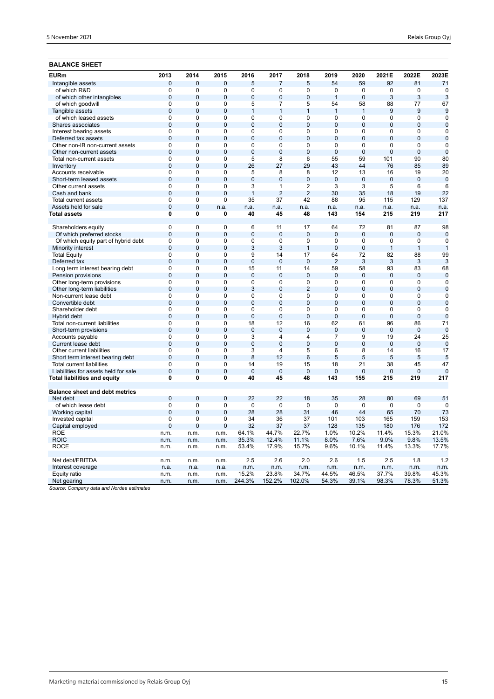# **BALANCE SHEET**

| <b>EURm</b>                                                          | 2013                | 2014                | 2015                | 2016                 | 2017                 | 2018                 | 2019                  | 2020                  | 2021E                 | 2022E                 | 2023E           |
|----------------------------------------------------------------------|---------------------|---------------------|---------------------|----------------------|----------------------|----------------------|-----------------------|-----------------------|-----------------------|-----------------------|-----------------|
| Intangible assets                                                    | $\overline{0}$      | $\overline{0}$      | 0                   | 5                    | $\overline{7}$       | 5                    | 54                    | 59                    | 92                    | 81                    | 71              |
| of which R&D                                                         | 0                   | $\mathbf 0$         | 0                   | 0                    | 0                    | 0                    | $\mathbf 0$           | 0                     | 0                     | $\mathbf 0$           | $\mathbf 0$     |
| of which other intangibles                                           | $\mathbf 0$         | $\mathbf{0}$        | $\overline{0}$      | $\overline{0}$       | $\overline{0}$       | $\overline{0}$       | $\mathbf{1}$          | $\overline{0}$        | 3                     | 3                     | 3               |
| of which goodwill                                                    | 0                   | 0                   | $\mathbf 0$         | 5                    | 7                    | 5                    | 54                    | 58                    | 88                    | 77                    | 67              |
| Tangible assets                                                      | $\overline{0}$      | $\mathbf{0}$        | $\overline{0}$      | 1                    | $\mathbf{1}$         | $\mathbf{1}$         | $\mathbf{1}$          | $\mathbf{1}$          | 9                     | 9                     | 9               |
| of which leased assets                                               | $\overline{0}$      | $\overline{0}$      | $\overline{0}$      | $\overline{0}$       | $\overline{0}$       | 0                    | 0                     | $\overline{0}$        | 0                     | $\overline{0}$        | $\overline{0}$  |
| Shares associates                                                    | $\overline{0}$      | $\overline{0}$      | $\overline{0}$      | $\overline{0}$       | $\overline{0}$       | $\overline{0}$       | $\overline{0}$        | $\overline{0}$        | $\overline{0}$        | $\overline{0}$        | $\overline{0}$  |
| Interest bearing assets                                              | $\overline{0}$      | 0                   | $\mathbf 0$         | $\overline{0}$       | 0                    | $\overline{0}$       | 0                     | $\mathbf 0$           | 0                     | 0                     | $\mathbf 0$     |
| Deferred tax assets                                                  | $\overline{0}$      | $\overline{0}$      | $\overline{0}$      | $\overline{0}$       | $\overline{0}$       | $\overline{0}$       | $\overline{0}$        | $\overline{0}$        | $\overline{0}$        | $\overline{0}$        | $\overline{0}$  |
| Other non-IB non-current assets                                      | 0                   | 0                   | 0                   | 0                    | 0                    | 0                    | 0                     | 0                     | 0                     | 0                     | $\mathbf 0$     |
| Other non-current assets                                             | $\overline{0}$      | $\Omega$            | $\overline{0}$      | $\overline{0}$       | $\overline{0}$       | $\overline{0}$       | $\overline{0}$        | $\overline{0}$        | $\overline{0}$        | $\overline{0}$        | $\overline{0}$  |
| Total non-current assets                                             | 0                   | $\mathbf 0$         | 0                   | 5                    | 8                    | 6                    | 55                    | 59                    | 101                   | 90                    | 80              |
| Inventory                                                            | $\overline{0}$      | $\Omega$            | $\overline{0}$      | 26                   | 27                   | 29                   | 43                    | 44                    | 76                    | 85                    | 89              |
| Accounts receivable                                                  | $\overline{0}$      | 0                   | $\overline{0}$      | 5                    | 8                    | 8                    | 12                    | 13                    | 16                    | 19                    | 20              |
| Short-term leased assets                                             | $\overline{0}$      | $\overline{0}$      | $\overline{0}$      | $\overline{0}$       | $\overline{0}$       | $\overline{0}$       | $\overline{0}$        | $\overline{0}$        | $\overline{0}$        | $\overline{0}$        | $\overline{0}$  |
| Other current assets                                                 | $\overline{0}$      | $\Omega$            | $\overline{0}$      | $\overline{3}$       | 1                    | $\overline{2}$       | $\overline{3}$        | $\overline{3}$        | $\overline{5}$        | 6                     | 6               |
| Cash and bank                                                        | $\overline{0}$      | $\overline{0}$      | $\overline{0}$      | $\overline{1}$       | $\overline{2}$       | $\overline{2}$       | 30                    | 35                    | 18                    | 19                    | 22              |
| Total current assets                                                 | 0                   | 0                   | $\Omega$            | 35                   | 37                   | 42                   | 88                    | 95                    | 115                   | 129                   | 137             |
| Assets held for sale                                                 | $\mathbf 0$         | $\overline{0}$      | n.a.                | n.a.                 | n.a.                 | n.a.                 | n.a.                  | n.a.                  | n.a.                  | n.a.                  | n.a.            |
| Total assets                                                         | $\mathbf{0}$        | 0                   | 0                   | 40                   | 45                   | 48                   | 143                   | 154                   | 215                   | 219                   | 217             |
| Shareholders equity                                                  | $\Omega$            | $\Omega$            | $\Omega$            | 6                    | 11                   | 17                   | 64                    | 72                    | 81                    | 87                    | 98              |
| Of which preferred stocks                                            | $\overline{0}$      | $\overline{0}$      | $\overline{0}$      | $\overline{0}$       | $\overline{0}$       | $\overline{0}$       | $\overline{0}$        | $\overline{0}$        | $\mathbf 0$           | $\overline{0}$        | $\mathbf 0$     |
| Of which equity part of hybrid debt                                  | $\overline{0}$      | $\Omega$            | 0                   | 0                    | 0                    | 0                    | 0                     | $\overline{0}$        | 0                     | $\mathbf 0$           | $\mathbf 0$     |
| Minority interest                                                    | $\overline{0}$      | $\overline{0}$      | $\overline{0}$      | 3                    | 3                    | $\mathbf{1}$         | $\overline{0}$        | $\overline{0}$        | $\mathbf{1}$          | $\mathbf{1}$          | $\overline{1}$  |
| <b>Total Equity</b>                                                  | $\mathbf 0$         | 0                   | $\mathbf 0$         | 9                    | 14                   | 17                   | 64                    | 72                    | 82                    | 88                    | 99              |
| Deferred tax                                                         | $\overline{0}$      | $\mathbf 0$         | $\overline{0}$      | $\overline{0}$       | $\overline{0}$       | $\overline{0}$       | $\overline{2}$        | 3                     | 3                     | 3                     | 3               |
| Long term interest bearing debt                                      | $\mathbf 0$         | 0                   | $\mathbf 0$         | 15                   | 11                   | 14                   | 59                    | 58                    | 93                    | 83                    | 68              |
| Pension provisions                                                   | $\overline{0}$      | $\overline{0}$      | $\overline{0}$      | $\overline{0}$       | $\overline{0}$       | $\overline{0}$       | $\overline{0}$        | $\overline{0}$        | $\Omega$              | $\mathbf{0}$          | $\overline{0}$  |
| Other long-term provisions                                           | $\mathbf 0$         | $\Omega$            | $\Omega$            | 0                    | $\Omega$             | $\mathbf 0$          | 0                     | $\mathbf 0$           | $\Omega$              | $\mathbf 0$           | $\Omega$        |
| Other long-term liabilities                                          | $\overline{0}$      | $\overline{0}$      | $\overline{0}$      | 3                    | $\overline{0}$       | $\overline{2}$       | $\overline{0}$        | $\overline{0}$        | $\mathbf{0}$          | $\overline{0}$        | $\mathbf 0$     |
| Non-current lease debt                                               | $\overline{0}$      | 0                   | $\overline{0}$      | 0                    | $\Omega$             | 0                    | $\Omega$              | $\Omega$              | $\Omega$              | $\Omega$              | $\mathbf 0$     |
| Convertible debt                                                     | $\overline{0}$      | $\overline{0}$      | $\overline{0}$      | $\overline{0}$       | $\overline{0}$       | $\overline{0}$       | $\overline{0}$        | $\overline{0}$        | $\overline{0}$        | $\overline{0}$        | $\mathbf 0$     |
| Shareholder debt                                                     | $\mathbf 0$         | $\mathbf 0$         | $\mathbf 0$         | 0                    | $\mathbf 0$          | 0                    | 0                     | $\mathbf 0$           | 0                     | 0                     | $\mathbf 0$     |
| Hybrid debt                                                          | $\overline{0}$      | $\overline{0}$      | $\overline{0}$      | $\overline{0}$       | $\overline{0}$       | $\overline{0}$       | $\overline{0}$        | $\overline{0}$        | $\overline{0}$        | $\overline{0}$        | $\overline{0}$  |
| Total non-current liabilities                                        | $\mathbf 0$         | 0                   | $\Omega$            | 18                   | 12                   | 16                   | 62                    | 61                    | 96                    | 86                    | 71              |
| Short-term provisions                                                | $\mathbf 0$         | $\mathbf{0}$        | $\overline{0}$      | $\mathbf 0$          | $\overline{0}$       | $\bf 0$              | $\overline{0}$        | $\mathbf 0$           | $\bf 0$               | $\mathbf 0$           | $\mathbf 0$     |
| Accounts payable                                                     | $\mathbf 0$         | $\Omega$            | $\Omega$            | 3                    | 4                    | 4                    | $\overline{7}$        | 9                     | 19                    | 24                    | 25              |
| Current lease debt                                                   | $\overline{0}$      | $\overline{0}$      | $\overline{0}$      | $\overline{0}$       | $\overline{0}$       | $\overline{0}$       | $\overline{0}$        | $\overline{0}$        | $\mathbf{0}$          | $\overline{0}$        | $\mathbf 0$     |
| Other current liabilities                                            | $\mathbf 0$         | 0                   | $\mathbf 0$         | 3                    | 4                    | 5                    | 6                     | 8                     | 14                    | 16                    | 17              |
| Short term interest bearing debt                                     | $\overline{0}$      | $\overline{0}$      | $\overline{0}$      | 8                    | 12                   | 6                    | 5                     | 5                     | 5                     | 5                     | 5               |
| <b>Total current liabilities</b>                                     | $\overline{0}$      | $\overline{0}$      | $\overline{0}$      | 14                   | 19                   | 15                   | 18                    | 21                    | 38                    | 45                    | 47              |
| Liabilities for assets held for sale<br>Total liabilities and equity | $\overline{0}$<br>0 | $\overline{0}$<br>0 | $\overline{0}$<br>0 | $\overline{0}$<br>40 | $\overline{0}$<br>45 | $\overline{0}$<br>48 | $\overline{0}$<br>143 | $\overline{0}$<br>155 | $\overline{0}$<br>215 | $\overline{0}$<br>219 | $\Omega$<br>217 |
|                                                                      |                     |                     |                     |                      |                      |                      |                       |                       |                       |                       |                 |
| <b>Balance sheet and debt metrics</b>                                |                     |                     |                     |                      |                      |                      |                       |                       |                       |                       |                 |
| Net debt                                                             | $\overline{0}$      | $\mathbf 0$         | $\overline{0}$      | 22                   | 22                   | 18                   | 35                    | 28                    | 80                    | 69                    | 51              |
| of which lease debt                                                  | $\mathbf 0$         | $\Omega$            | $\mathbf 0$         | 0                    | $\mathbf 0$          | 0                    | 0                     | 0                     | 0                     | 0                     | 0               |
| Working capital                                                      | $\overline{0}$      | $\mathbf{0}$        | 0                   | 28                   | 28                   | 31                   | 46                    | 44                    | 65                    | 70                    | 73              |
| Invested capital                                                     | $\mathbf 0$         | $\Omega$            | $\mathbf 0$         | 34                   | 36                   | 37                   | 101                   | 103                   | 165                   | 159                   | 153             |
| Capital employed                                                     | $\overline{0}$      | $\overline{0}$      | $\overline{0}$      | 32                   | 37                   | 37                   | 128                   | 135                   | 180                   | 176                   | 172             |
| <b>ROE</b>                                                           | n.m.                | n.m.                | n.m.                | 64.1%                | 44.7%                | 22.7%                | 1.0%                  | 10.2%                 | 11.4%                 | 15.3%                 | 21.0%           |
| <b>ROIC</b>                                                          | n.m.                | n.m.                | n.m.                | 35.3%                | 12.4%                | 11.1%                | 8.0%                  | 7.6%                  | 9.0%                  | 9.8%                  | 13.5%           |
| ROCE                                                                 | n.m.                | n.m.                | n.m.                | 53.4%                | 17.9%                | 15.7%                | 9.6%                  | 10.1%                 | 11.4%                 | 13.3%                 | 17.7%           |
| Net debt/EBITDA                                                      | n.m.                | n.m.                | n.m.                | 2.5                  | 2.6                  | 2.0                  | 2.6                   | 1.5                   | 2.5                   | 1.8                   | 1.2             |
| Interest coverage                                                    | n.a.                | n.a.                | n.a.                | n.m.                 | n.m.                 | n.m.                 | n.m.                  | n.m.                  | n.m.                  | n.m.                  | n.m.            |
| Equity ratio                                                         | n.m.                | n.m.                | n.m.                | 15.2%                | 23.8%                | 34.7%                | 44.5%                 | 46.5%                 | 37.7%                 | 39.8%                 | 45.3%           |
| Net gearing<br>$1.11 - 1.1$                                          | n.m.                | n.m.                | n.m.                | 244.3%               | 152.2%               | 102.0%               | 54.3%                 | 39.1%                 | 98.3%                 | 78.3%                 | 51.3%           |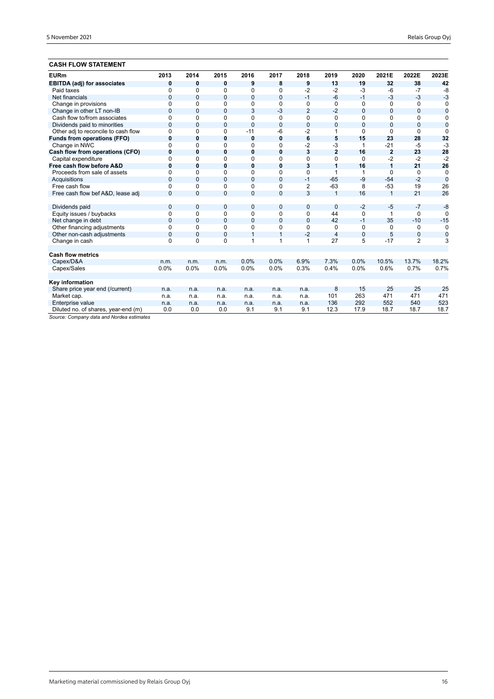# **CASH FLOW STATEMENT**

| ,,,,,,,,,,,,,,,,,,,,,,,,            |              |                |                |                |                |                |                |                |                |                |                |
|-------------------------------------|--------------|----------------|----------------|----------------|----------------|----------------|----------------|----------------|----------------|----------------|----------------|
| <b>EURm</b>                         | 2013         | 2014           | 2015           | 2016           | 2017           | 2018           | 2019           | 2020           | 2021E          | 2022E          | 2023E          |
| <b>EBITDA (adj) for associates</b>  | $\bf{0}$     | $\mathbf{0}$   | 0              | 9              | 8              | 9              | 13             | 19             | 32             | 38             | 42             |
| Paid taxes                          | 0            | 0              | 0              | 0              | $\Omega$       | $-2$           | $-2$           | $-3$           | $-6$           | $-7$           | -8             |
| Net financials                      | $\mathbf{0}$ | $\mathbf{0}$   | $\overline{0}$ | $\mathbf{0}$   | $\overline{0}$ | $-1$           | $-6$           | $-1$           | $-3$           | $-3$           | $-3$           |
| Change in provisions                | $\Omega$     | $\Omega$       | $\Omega$       | 0              | $\Omega$       | 0              | $\Omega$       | $\Omega$       | $\Omega$       | $\Omega$       | 0              |
| Change in other LT non-IB           | $\mathbf 0$  | $\mathbf 0$    | $\overline{0}$ | 3              | $-3$           | $\overline{2}$ | $-2$           | $\mathbf{0}$   | $\mathbf{0}$   | 0              | $\overline{0}$ |
| Cash flow to/from associates        | $\Omega$     | $\Omega$       | 0              | 0              | 0              | 0              | $\Omega$       | 0              | $\Omega$       | 0              | 0              |
| Dividends paid to minorities        | $\mathbf{0}$ | $\mathbf 0$    | $\overline{0}$ | $\overline{0}$ | $\overline{0}$ | $\overline{0}$ | $\overline{0}$ | $\overline{0}$ | $\overline{0}$ | $\mathbf{0}$   | $\overline{0}$ |
| Other adj to reconcile to cash flow | $\Omega$     | 0              | 0              | $-11$          | -6             | $-2$           |                | $\Omega$       | $\Omega$       | 0              | $\Omega$       |
| <b>Funds from operations (FFO)</b>  | $\mathbf 0$  | 0              | 0              | 0              | $\mathbf 0$    | 6              | 5              | 15             | 23             | 28             | 32             |
| Change in NWC                       | $\Omega$     | $\Omega$       | 0              | 0              | 0              | $-2$           | $-3$           | 1              | $-21$          | $-5$           | $-3$           |
| Cash flow from operations (CFO)     | $\bf{0}$     | $\mathbf{0}$   | 0              | $\bf{0}$       | $\bf{0}$       | 3              | $\overline{2}$ | 16             | $\overline{2}$ | 23             | 28             |
| Capital expenditure                 | $\Omega$     | $\Omega$       | $\Omega$       | $\Omega$       | $\Omega$       | $\Omega$       | 0              | $\Omega$       | $-2$           | $-2$           | $-2$           |
| Free cash flow before A&D           | $\bf{0}$     | $\bf{0}$       | $\bf{0}$       | $\bf{0}$       | $\mathbf{0}$   | 3              | 1              | 16             | $\overline{1}$ | 21             | 26             |
| Proceeds from sale of assets        | $\Omega$     | $\Omega$       | $\Omega$       | $\Omega$       | $\Omega$       | $\Omega$       | 1              | 1              | $\Omega$       | $\Omega$       | $\Omega$       |
| Acquisitions                        | $\Omega$     | $\Omega$       | $\overline{0}$ | $\mathbf{0}$   | $\mathbf{0}$   | $-1$           | $-65$          | $-9$           | $-54$          | $-2$           | $\mathbf 0$    |
| Free cash flow                      | $\Omega$     | $\Omega$       | $\Omega$       | 0              | 0              | 2              | $-63$          | 8              | $-53$          | 19             | 26             |
| Free cash flow bef A&D, lease adj   | $\Omega$     | $\Omega$       | $\overline{0}$ | $\overline{0}$ | $\overline{0}$ | 3              | $\mathbf{1}$   | 16             | $\mathbf{1}$   | 21             | 26             |
| Dividends paid                      | $\mathbf 0$  | $\mathbf 0$    | 0              | 0              | 0              | $\mathbf{0}$   | $\mathbf 0$    | $-2$           | $-5$           | $-7$           | $-8$           |
| Equity issues / buybacks            | 0            | $\Omega$       | $\Omega$       | 0              | $\Omega$       | 0              | 44             | $\Omega$       | 1              | $\Omega$       | $\Omega$       |
| Net change in debt                  | $\mathbf 0$  | $\mathbf{0}$   | $\mathbf{0}$   | $\mathbf{0}$   | $\overline{0}$ | $\overline{0}$ | 42             | $-1$           | 35             | $-10$          | $-15$          |
| Other financing adjustments         | $\Omega$     | $\Omega$       | $\Omega$       | 0              | 0              | 0              | 0              | 0              | 0              | 0              | $\Omega$       |
| Other non-cash adjustments          | $\mathbf{0}$ | $\overline{0}$ | $\overline{0}$ | $\mathbf{1}$   | 1              | $-2$           | 4              | $\mathbf 0$    | 5              | 0              | $\mathbf 0$    |
| Change in cash                      | $\Omega$     | $\Omega$       | $\Omega$       | 1              | 1              | 1              | 27             | 5              | $-17$          | $\overline{2}$ | 3              |
| <b>Cash flow metrics</b>            |              |                |                |                |                |                |                |                |                |                |                |
| Capex/D&A                           | n.m.         | n.m.           | n.m.           | 0.0%           | 0.0%           | 6.9%           | 7.3%           | 0.0%           | 10.5%          | 13.7%          | 18.2%          |
| Capex/Sales                         | 0.0%         | 0.0%           | 0.0%           | 0.0%           | 0.0%           | 0.3%           | 0.4%           | 0.0%           | 0.6%           | 0.7%           | 0.7%           |
| Key information                     |              |                |                |                |                |                |                |                |                |                |                |
| Share price year end (/current)     | n.a.         | n.a.           | n.a.           | n.a.           | n.a.           | n.a.           | 8              | 15             | 25             | 25             | 25             |
| Market cap.                         | n.a.         | n.a.           | n.a.           | n.a.           | n.a.           | n.a.           | 101            | 263            | 471            | 471            | 471            |
| Enterprise value                    | n.a.         | n.a.           | n.a.           | n.a.           | n.a.           | n.a.           | 136            | 292            | 552            | 540            | 523            |
| Diluted no. of shares, year-end (m) | 0.0          | 0.0            | 0.0            | 9.1            | 9.1            | 9.1            | 12.3           | 17.9           | 18.7           | 18.7           | 18.7           |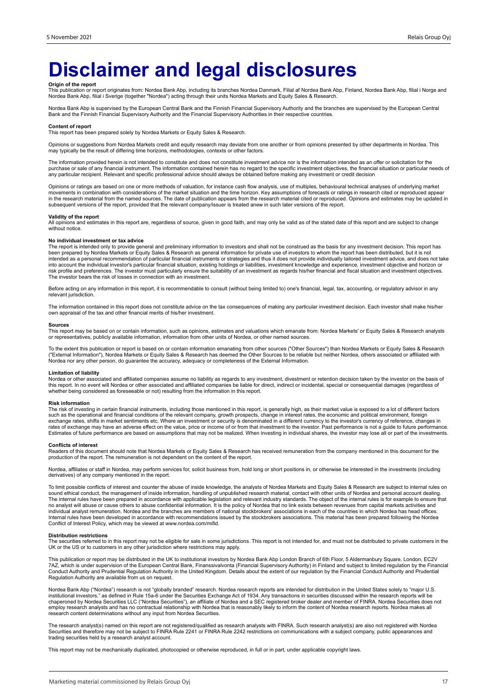# **Disclaimer and legal disclosures**

**Origin of the report**<br>This publication or report originates from: Nordea Bank Abp, including its branches Nordea Danmark, Filial af Nordea Bank Abp, Mordea Bank Abp, filial i Norge and<br>Nordea Bank Abp, filial i Sverige (t

Nordea Bank Abp is supervised by the European Central Bank and the Finnish Financial Supervisory Authority and the branches are supervised by the European Central<br>Bank and the Finnish Financial Supervisory Authority and th

#### **Content of report**

This report has been prepared solely by Nordea Markets or Equity Sales & Research.

Opinions or suggestions from Nordea Markets credit and equity research may deviate from one another or from opinions presented by other departments in Nordea. This may typically be the result of differing time horizons, methodologies, contexts or other factors.

The information provided herein is not intended to constitute and does not constitute investment advice nor is the information intended as an offer or solicitation for the purchase or sale of any financial instrument. The information contained herein has no regard to the specific investment objectives, the financial situation or particular needs of any particular recipient. Relevant and specific professional advice should always be obtained before making any investment or credit decision

Opinions or ratings are based on one or more methods of valuation, for instance cash flow analysis, use of multiples, behavioural technical analyses of underlying market movements in combination with considerations of the market situation and the time horizon. Key assumptions of forecasts or ratings in research cited or reproduced appear<br>in the research material from the named sources. The subsequent versions of the report, provided that the relevant company/issuer is treated anew in such later versions of the report.

#### **Validity of the report**

All opinions and estimates in this report are, regardless of source, given in good faith, and may only be valid as of the stated date of this report and are subject to change without notice.

#### **No individual investment or tax advice**

The report is intended only to provide general and preliminary information to investors and shall not be construed as the basis for any investment decision. This report has<br>been prepared by Nordea Markets or Equity Sales & into account the individual investor's particular financial situation, existing holdings or liabilities, investment knowledge and experience, investment objective and horizon or<br>risk profile and preferences. The investor m The investor bears the risk of losses in connection with an investment.

Before acting on any information in this report, it is recommendable to consult (without being limited to) one's financial, legal, tax, accounting, or regulatory advisor in any relevant jurisdiction.

The information contained in this report does not constitute advice on the tax consequences of making any particular investment decision. Each investor shall make his/her own appraisal of the tax and other financial merits of his/her investment.

#### **Sources**

This report may be based on or contain information, such as opinions, estimates and valuations which emanate from: Nordea Markets' or Equity Sales & Research analysts or representatives, publicly available information, information from other units of Nordea, or other named sources.

To the extent this publication or report is based on or contain information emanating from other sources ("Other Sources") than Nordea Markets or Equity Sales & Research<br>("External Information"), Nordea Markets or Equity S Nordea nor any other person, do guarantee the accuracy, adequacy or completeness of the External Information.

#### **Limitation of liability**

Nordea or other associated and affiliated companies assume no liability as regards to any investment, divestment or retention decision taken by the investor on the basis of<br>this report. In no event will Nordea or other ass whether being considered as foreseeable or not) resulting from the information in this report.

#### **Risk information**

The risk of investing in certain financial instruments, including those mentioned in this report, is generally high, as their market value is exposed to a lot of different factors<br>such as the operational and financial cond exchange rates, shifts in market sentiments etc. Where an investment or security is denominated in a different currency to the investor's currency of reference, changes in<br>rates of exchange may have an adverse effect on th Estimates of future performance are based on assumptions that may not be realized. When investing in individual shares, the investor may lose all or part of the investments.

#### **Conflicts of interest**

Readers of this document should note that Nordea Markets or Equity Sales & Research has received remuneration from the company mentioned in this document for the<br>production of the report. The remuneration is not dependent

Nordea, affiliates or staff in Nordea, may perform services for, solicit business from, hold long or short positions in, or otherwise be interested in the investments (including derivatives) of any company mentioned in the report.

To limit possible conflicts of interest and counter the abuse of inside knowledge, the analysts of Nordea Markets and Equity Sales & Research are subject to internal rules on sound ethical conduct, the management of inside information, handling of unpublished research material, contact with other units of Nordea and personal account dealing.<br>The internal rules have been prepared in accordance w individual analyst remuneration. Nordea and the branches are members of national stockbrokers' associations in each of the countries in which Nordea has head offices.<br>Internal rules have been developed in accordance with r Conflict of Interest Policy, which may be viewed at www.nordea.com/mifid.

#### **Distribution restrictions**

The securities referred to in this report may not be eligible for sale in some jurisdictions. This report is not intended for, and must not be distributed to private customers in the UK or the US or to customers in any other jurisdiction where restrictions may apply.

This publication or report may be distributed in the UK to institutional investors by Nordea Bank Abp London Branch of 6th Floor, 5 Aldermanbury Square, London, EC2V 7AZ, which is under supervision of the European Central Bank, Finanssivalvonta (Financial Supervisory Authority) in Finland and subject to limited regulation by the Financial<br>Conduct Authority and Prudential Regulation Aut Regulation Authority are available from us on request.

Nordea Bank Abp ("Nordea") research is not "globally branded" research. Nordea research reports are intended for distribution in the United States solely to "major U.S. institutional investors," as defined in Rule 15a-6 under the Securities Exchange Act of 1934. Any transactions in securities discussed within the research reports will be<br>chaperoned by Nordea Securities LLC ("Nordea Securi research content determinations without any input from Nordea Securities.

The research analyst(s) named on this report are not registered/qualified as research analysts with FINRA. Such research analyst(s) are also not registered with Nordea<br>Securities and therefore may not be subject to FINRA R trading securities held by a research analyst account.

This report may not be mechanically duplicated, photocopied or otherwise reproduced, in full or in part, under applicable copyright laws.